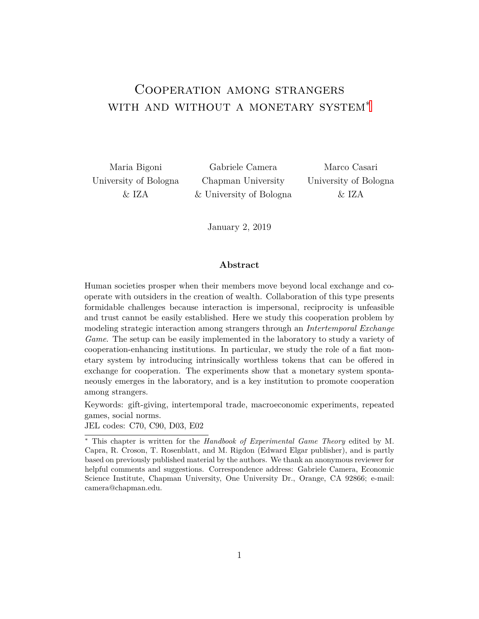# <span id="page-0-0"></span>Cooperation among strangers WITH AND WITHOUT A MONETARY SYSTEM<sup>\*</sup>

Maria Bigoni Gabriele Camera Marco Casari University of Bologna Chapman University University of Bologna & IZA & University of Bologna & IZA

January 2, 2019

#### **Abstract**

Human societies prosper when their members move beyond local exchange and cooperate with outsiders in the creation of wealth. Collaboration of this type presents formidable challenges because interaction is impersonal, reciprocity is unfeasible and trust cannot be easily established. Here we study this cooperation problem by modeling strategic interaction among strangers through an *Intertemporal Exchange Game*. The setup can be easily implemented in the laboratory to study a variety of cooperation-enhancing institutions. In particular, we study the role of a fiat monetary system by introducing intrinsically worthless tokens that can be offered in exchange for cooperation. The experiments show that a monetary system spontaneously emerges in the laboratory, and is a key institution to promote cooperation among strangers.

Keywords: gift-giving, intertemporal trade, macroeconomic experiments, repeated games, social norms.

JEL codes: C70, C90, D03, E02

<sup>∗</sup> This chapter is written for the *Handbook of Experimental Game Theory* edited by M. Capra, R. Croson, T. Rosenblatt, and M. Rigdon (Edward Elgar publisher), and is partly based on previously published material by the authors. We thank an anonymous reviewer for helpful comments and suggestions. Correspondence address: Gabriele Camera, Economic Science Institute, Chapman University, One University Dr., Orange, CA 92866; e-mail: camera@chapman.edu.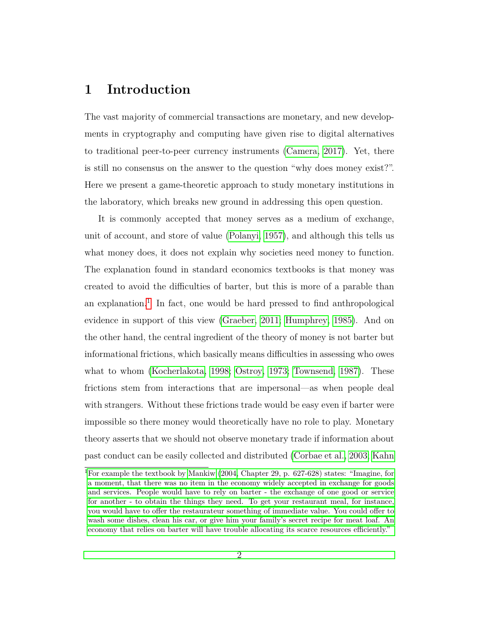## **1 Introduction**

The vast majority of commercial transactions are monetary, and new developments in cryptography and computing have given rise to digital alternatives to traditional peer-to-peer currency instruments [\(Camera, 2017\)](#page-41-0). Yet, there is still no consensus on the answer to the question "why does money exist?". Here we present a game-theoretic approach to study monetary institutions in the laboratory, which breaks new ground in addressing this open question.

It is commonly accepted that money serves as a medium of exchange, unit of account, and store of value [\(Polanyi, 1957\)](#page-46-0), and although this tells us what money does, it does not explain why societies need money to function. The explanation found in standard economics textbooks is that money was created to avoid the difficulties of barter, but this is more of a parable than an explanation.<sup>[1](#page-0-0)</sup> In fact, one would be hard pressed to find anthropological evidence in support of this view [\(Graeber, 2011;](#page-43-0) [Humphrey, 1985\)](#page-44-0). And on the other hand, the central ingredient of the theory of money is not barter but informational frictions, which basically means difficulties in assessing who owes what to whom [\(Kocherlakota, 1998;](#page-44-1) [Ostroy, 1973;](#page-45-0) [Townsend, 1987\)](#page-46-1). These frictions stem from interactions that are impersonal—as when people deal with strangers. Without these frictions trade would be easy even if barter were impossible so there money would theoretically have no role to play. Monetary theory asserts that we should not observe monetary trade if information about past conduct can be easily collected and distributed [\(Corbae et al., 2003;](#page-42-0) [Kahn](#page-44-2)

<sup>1</sup>[For example the textbook by Mankiw \(2004, Chapter 29, p. 627-628\) states: "Imagine, for](#page-44-2) [a moment, that there was no item in the economy widely accepted in exchange for goods](#page-44-2) [and services. People would have to rely on barter - the exchange of one good or service](#page-44-2) [for another - to obtain the things they need. To get your restaurant meal, for instance,](#page-44-2) [you would have to offer the restaurateur something of immediate value. You could offer to](#page-44-2) [wash some dishes, clean his car, or give him your family's secret recipe for meat loaf. An](#page-44-2) [economy that relies on barter will have trouble allocating its scarce resources efficiently."](#page-44-2)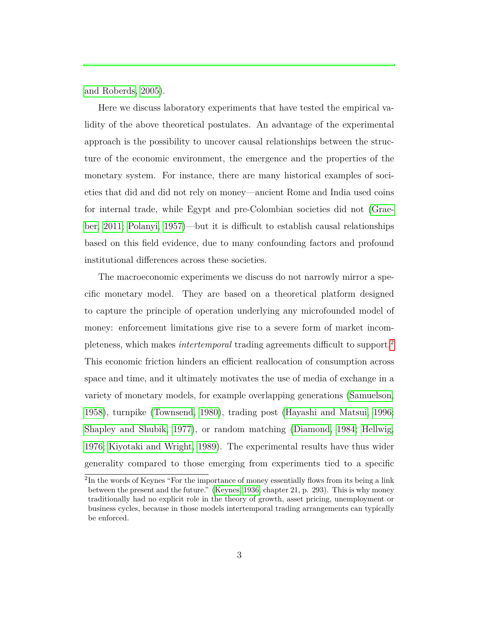[and Roberds, 2005\)](#page-44-2).

Here we discuss laboratory experiments that have tested the empirical validity of the above theoretical postulates. An advantage of the experimental approach is the possibility to uncover causal relationships between the structure of the economic environment, the emergence and the properties of the monetary system. For instance, there are many historical examples of societies that did and did not rely on money—ancient Rome and India used coins for internal trade, while Egypt and pre-Colombian societies did not [\(Grae](#page-43-0)[ber, 2011;](#page-43-0) [Polanyi, 1957\)](#page-46-0)—but it is difficult to establish causal relationships based on this field evidence, due to many confounding factors and profound institutional differences across these societies.

The macroeconomic experiments we discuss do not narrowly mirror a specific monetary model. They are based on a theoretical platform designed to capture the principle of operation underlying any microfounded model of money: enforcement limitations give rise to a severe form of market incompleteness, which makes *intertemporal* trading agreements difficult to support.[2](#page-0-0) This economic friction hinders an efficient reallocation of consumption across space and time, and it ultimately motivates the use of media of exchange in a variety of monetary models, for example overlapping generations [\(Samuelson,](#page-46-2) [1958\)](#page-46-2), turnpike [\(Townsend, 1980\)](#page-46-3), trading post [\(Hayashi and Matsui, 1996;](#page-43-1) [Shapley and Shubik, 1977\)](#page-46-4), or random matching [\(Diamond, 1984;](#page-42-1) [Hellwig,](#page-44-3) [1976;](#page-44-3) [Kiyotaki and Wright, 1989\)](#page-44-4). The experimental results have thus wider generality compared to those emerging from experiments tied to a specific

<sup>&</sup>lt;sup>2</sup>In the words of Keynes "For the importance of money essentially flows from its being a link between the present and the future." [\(Keynes, 1936,](#page-44-5) chapter 21, p. 293). This is why money traditionally had no explicit role in the theory of growth, asset pricing, unemployment or business cycles, because in those models intertemporal trading arrangements can typically be enforced.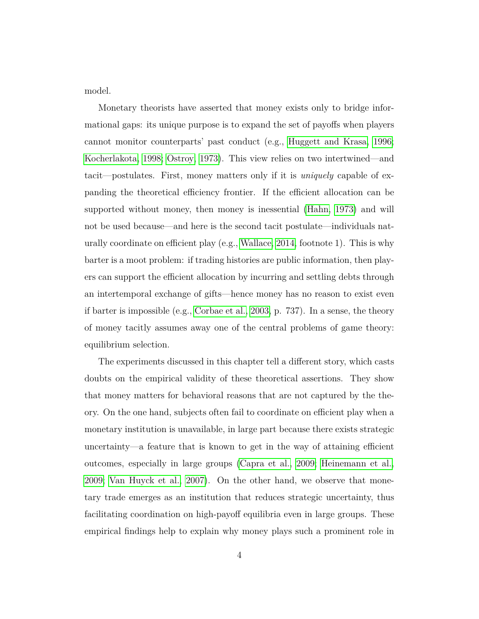model.

Monetary theorists have asserted that money exists only to bridge informational gaps: its unique purpose is to expand the set of payoffs when players cannot monitor counterparts' past conduct (e.g., [Huggett and Krasa, 1996;](#page-44-6) [Kocherlakota, 1998;](#page-44-1) [Ostroy, 1973\)](#page-45-0). This view relies on two intertwined—and tacit—postulates. First, money matters only if it is *uniquely* capable of expanding the theoretical efficiency frontier. If the efficient allocation can be supported without money, then money is inessential [\(Hahn, 1973\)](#page-43-2) and will not be used because—and here is the second tacit postulate—individuals naturally coordinate on efficient play (e.g., [Wallace, 2014,](#page-46-5) footnote 1). This is why barter is a moot problem: if trading histories are public information, then players can support the efficient allocation by incurring and settling debts through an intertemporal exchange of gifts—hence money has no reason to exist even if barter is impossible (e.g., [Corbae et al., 2003,](#page-42-0) p. 737). In a sense, the theory of money tacitly assumes away one of the central problems of game theory: equilibrium selection.

The experiments discussed in this chapter tell a different story, which casts doubts on the empirical validity of these theoretical assertions. They show that money matters for behavioral reasons that are not captured by the theory. On the one hand, subjects often fail to coordinate on efficient play when a monetary institution is unavailable, in large part because there exists strategic uncertainty—a feature that is known to get in the way of attaining efficient outcomes, especially in large groups [\(Capra et al., 2009;](#page-42-2) [Heinemann et al.,](#page-43-3) [2009;](#page-43-3) [Van Huyck et al., 2007\)](#page-46-6). On the other hand, we observe that monetary trade emerges as an institution that reduces strategic uncertainty, thus facilitating coordination on high-payoff equilibria even in large groups. These empirical findings help to explain why money plays such a prominent role in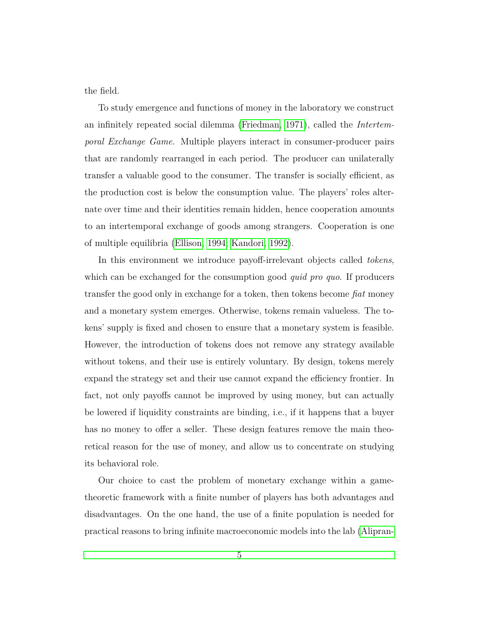the field.

To study emergence and functions of money in the laboratory we construct an infinitely repeated social dilemma [\(Friedman, 1971\)](#page-43-4), called the *Intertemporal Exchange Game*. Multiple players interact in consumer-producer pairs that are randomly rearranged in each period. The producer can unilaterally transfer a valuable good to the consumer. The transfer is socially efficient, as the production cost is below the consumption value. The players' roles alternate over time and their identities remain hidden, hence cooperation amounts to an intertemporal exchange of goods among strangers. Cooperation is one of multiple equilibria [\(Ellison, 1994;](#page-43-5) [Kandori, 1992\)](#page-44-7).

In this environment we introduce payoff-irrelevant objects called *tokens*, which can be exchanged for the consumption good *quid pro quo*. If producers transfer the good only in exchange for a token, then tokens become *fiat* money and a monetary system emerges. Otherwise, tokens remain valueless. The tokens' supply is fixed and chosen to ensure that a monetary system is feasible. However, the introduction of tokens does not remove any strategy available without tokens, and their use is entirely voluntary. By design, tokens merely expand the strategy set and their use cannot expand the efficiency frontier. In fact, not only payoffs cannot be improved by using money, but can actually be lowered if liquidity constraints are binding, i.e., if it happens that a buyer has no money to offer a seller. These design features remove the main theoretical reason for the use of money, and allow us to concentrate on studying its behavioral role.

Our choice to cast the problem of monetary exchange within a gametheoretic framework with a finite number of players has both advantages and disadvantages. On the one hand, the use of a finite population is needed for practical reasons to bring infinite macroeconomic models into the lab [\(Alipran-](#page-41-1)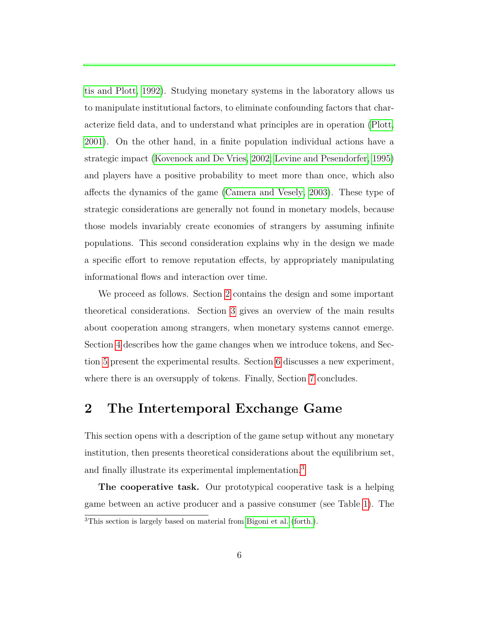[tis and Plott, 1992\)](#page-41-1). Studying monetary systems in the laboratory allows us to manipulate institutional factors, to eliminate confounding factors that characterize field data, and to understand what principles are in operation [\(Plott,](#page-45-2) [2001\)](#page-45-2). On the other hand, in a finite population individual actions have a strategic impact [\(Kovenock and De Vries, 2002;](#page-44-8) [Levine and Pesendorfer, 1995\)](#page-44-9) and players have a positive probability to meet more than once, which also affects the dynamics of the game [\(Camera and Vesely, 2003\)](#page-42-3). These type of strategic considerations are generally not found in monetary models, because those models invariably create economies of strangers by assuming infinite populations. This second consideration explains why in the design we made a specific effort to remove reputation effects, by appropriately manipulating informational flows and interaction over time.

We proceed as follows. Section [2](#page-5-0) contains the design and some important theoretical considerations. Section [3](#page-11-0) gives an overview of the main results about cooperation among strangers, when monetary systems cannot emerge. Section [4](#page-17-0) describes how the game changes when we introduce tokens, and Section [5](#page-25-0) present the experimental results. Section [6](#page-31-0) discusses a new experiment, where there is an oversupply of tokens. Finally, Section [7](#page-38-0) concludes.

## <span id="page-5-0"></span>**2 The Intertemporal Exchange Game**

This section opens with a description of the game setup without any monetary institution, then presents theoretical considerations about the equilibrium set, and finally illustrate its experimental implementation.<sup>[3](#page-0-0)</sup>

**The cooperative task.** Our prototypical cooperative task is a helping game between an active producer and a passive consumer (see Table [1\)](#page-6-0). The <sup>3</sup>This section is largely based on material from [Bigoni et al.](#page-41-2) [\(forth.\)](#page-41-2).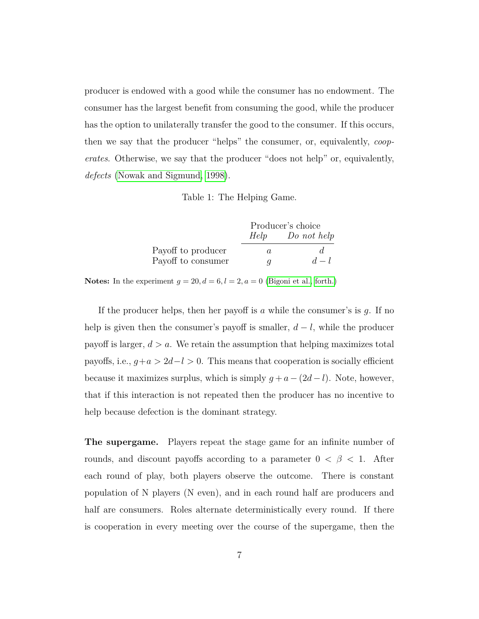producer is endowed with a good while the consumer has no endowment. The consumer has the largest benefit from consuming the good, while the producer has the option to unilaterally transfer the good to the consumer. If this occurs, then we say that the producer "helps" the consumer, or, equivalently, *cooperates*. Otherwise, we say that the producer "does not help" or, equivalently, *defects* [\(Nowak and Sigmund, 1998\)](#page-45-3).

Table 1: The Helping Game.

<span id="page-6-0"></span>

|                    |      | Producer's choice |
|--------------------|------|-------------------|
|                    | Help | Do not help       |
| Payoff to producer | a.   |                   |
| Payoff to consumer | a    | $d-l$             |

**Notes:** In the experiment  $g = 20, d = 6, l = 2, a = 0$  [\(Bigoni et al., forth.\)](#page-41-2)

If the producer helps, then her payoff is *a* while the consumer's is *g*. If no help is given then the consumer's payoff is smaller, *d* − *l*, while the producer payoff is larger,  $d > a$ . We retain the assumption that helping maximizes total payoffs, i.e.,  $g + a > 2d - l > 0$ . This means that cooperation is socially efficient because it maximizes surplus, which is simply  $g + a - (2d - l)$ . Note, however, that if this interaction is not repeated then the producer has no incentive to help because defection is the dominant strategy.

**The supergame.** Players repeat the stage game for an infinite number of rounds, and discount payoffs according to a parameter  $0 < \beta < 1$ . After each round of play, both players observe the outcome. There is constant population of N players (N even), and in each round half are producers and half are consumers. Roles alternate deterministically every round. If there is cooperation in every meeting over the course of the supergame, then the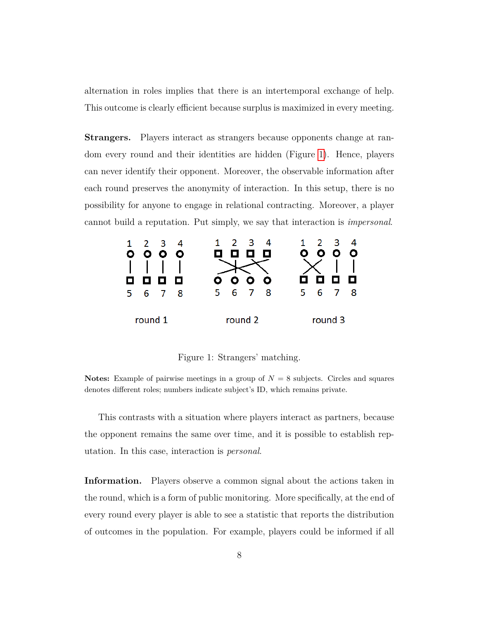alternation in roles implies that there is an intertemporal exchange of help. This outcome is clearly efficient because surplus is maximized in every meeting.

**Strangers.** Players interact as strangers because opponents change at random every round and their identities are hidden (Figure [1\)](#page-7-0). Hence, players can never identify their opponent. Moreover, the observable information after each round preserves the anonymity of interaction. In this setup, there is no possibility for anyone to engage in relational contracting. Moreover, a player cannot build a reputation. Put simply, we say that interaction is *impersonal*.

<span id="page-7-0"></span>

Figure 1: Strangers' matching.

**Notes:** Example of pairwise meetings in a group of  $N = 8$  subjects. Circles and squares denotes different roles; numbers indicate subject's ID, which remains private.

This contrasts with a situation where players interact as partners, because the opponent remains the same over time, and it is possible to establish reputation. In this case, interaction is *personal*.

**Information.** Players observe a common signal about the actions taken in the round, which is a form of public monitoring. More specifically, at the end of every round every player is able to see a statistic that reports the distribution of outcomes in the population. For example, players could be informed if all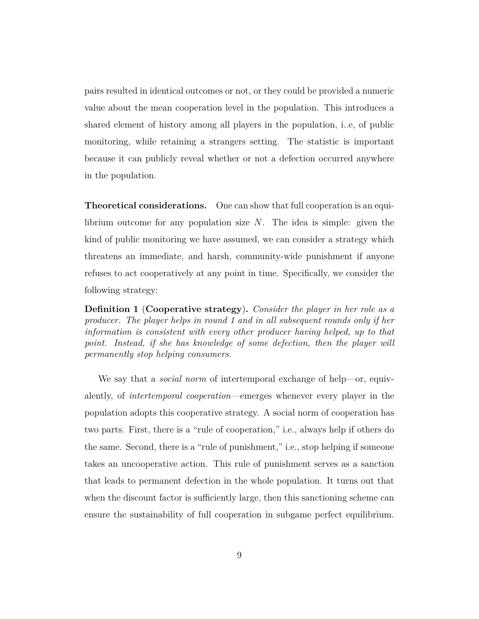pairs resulted in identical outcomes or not, or they could be provided a numeric value about the mean cooperation level in the population. This introduces a shared element of history among all players in the population, i..e, of public monitoring, while retaining a strangers setting. The statistic is important because it can publicly reveal whether or not a defection occurred anywhere in the population.

**Theoretical considerations.** One can show that full cooperation is an equilibrium outcome for any population size *N*. The idea is simple: given the kind of public monitoring we have assumed, we can consider a strategy which threatens an immediate, and harsh, community-wide punishment if anyone refuses to act cooperatively at any point in time. Specifically, we consider the following strategy:

<span id="page-8-0"></span>**Definition 1** (**Cooperative strategy**)**.** *Consider the player in her role as a producer. The player helps in round 1 and in all subsequent rounds only if her information is consistent with every other producer having helped, up to that point.* Instead, if she has knowledge of some defection, then the player will *permanently stop helping consumers.*

We say that a *social norm* of intertemporal exchange of help—or, equivalently, of *intertemporal cooperation*—emerges whenever every player in the population adopts this cooperative strategy. A social norm of cooperation has two parts. First, there is a "rule of cooperation," i.e., always help if others do the same. Second, there is a "rule of punishment," i.e., stop helping if someone takes an uncooperative action. This rule of punishment serves as a sanction that leads to permanent defection in the whole population. It turns out that when the discount factor is sufficiently large, then this sanctioning scheme can ensure the sustainability of full cooperation in subgame perfect equilibrium.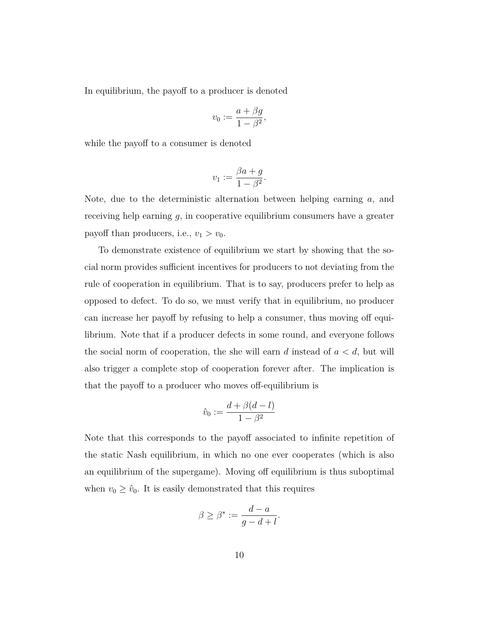In equilibrium, the payoff to a producer is denoted

$$
v_0 := \frac{a + \beta g}{1 - \beta^2},
$$

while the payoff to a consumer is denoted

$$
v_1 := \frac{\beta a + g}{1 - \beta^2}.
$$

Note, due to the deterministic alternation between helping earning *a*, and receiving help earning *g*, in cooperative equilibrium consumers have a greater payoff than producers, i.e.,  $v_1 > v_0$ .

To demonstrate existence of equilibrium we start by showing that the social norm provides sufficient incentives for producers to not deviating from the rule of cooperation in equilibrium. That is to say, producers prefer to help as opposed to defect. To do so, we must verify that in equilibrium, no producer can increase her payoff by refusing to help a consumer, thus moving off equilibrium. Note that if a producer defects in some round, and everyone follows the social norm of cooperation, the she will earn *d* instead of *a < d*, but will also trigger a complete stop of cooperation forever after. The implication is that the payoff to a producer who moves off-equilibrium is

$$
\hat{v}_0 := \frac{d + \beta(d - l)}{1 - \beta^2}
$$

Note that this corresponds to the payoff associated to infinite repetition of the static Nash equilibrium, in which no one ever cooperates (which is also an equilibrium of the supergame). Moving off equilibrium is thus suboptimal when  $v_0 \geq \hat{v}_0$ . It is easily demonstrated that this requires

$$
\beta \ge \beta^* := \frac{d-a}{g-d+l}.
$$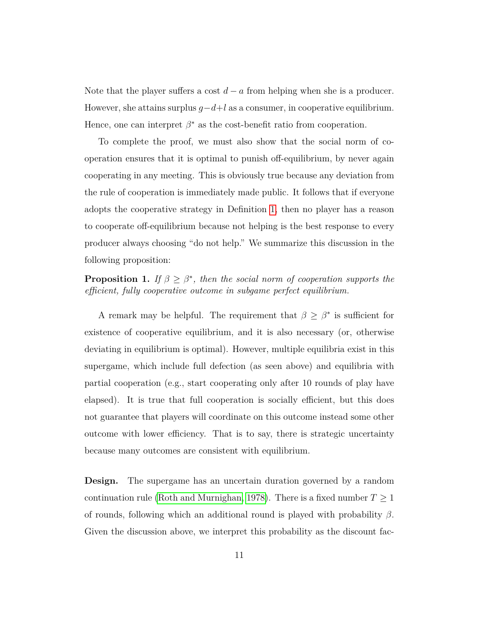Note that the player suffers a cost  $d - a$  from helping when she is a producer. However, she attains surplus  $q-d+l$  as a consumer, in cooperative equilibrium. Hence, one can interpret  $\beta^*$  as the cost-benefit ratio from cooperation.

To complete the proof, we must also show that the social norm of cooperation ensures that it is optimal to punish off-equilibrium, by never again cooperating in any meeting. This is obviously true because any deviation from the rule of cooperation is immediately made public. It follows that if everyone adopts the cooperative strategy in Definition [1,](#page-8-0) then no player has a reason to cooperate off-equilibrium because not helping is the best response to every producer always choosing "do not help." We summarize this discussion in the following proposition:

**Proposition 1.** *If*  $\beta \geq \beta^*$ , then the social norm of cooperation supports the *efficient, fully cooperative outcome in subgame perfect equilibrium.*

A remark may be helpful. The requirement that  $\beta \geq \beta^*$  is sufficient for existence of cooperative equilibrium, and it is also necessary (or, otherwise deviating in equilibrium is optimal). However, multiple equilibria exist in this supergame, which include full defection (as seen above) and equilibria with partial cooperation (e.g., start cooperating only after 10 rounds of play have elapsed). It is true that full cooperation is socially efficient, but this does not guarantee that players will coordinate on this outcome instead some other outcome with lower efficiency. That is to say, there is strategic uncertainty because many outcomes are consistent with equilibrium.

**Design.** The supergame has an uncertain duration governed by a random continuation rule [\(Roth and Murnighan, 1978\)](#page-46-7). There is a fixed number  $T \geq 1$ of rounds, following which an additional round is played with probability *β*. Given the discussion above, we interpret this probability as the discount fac-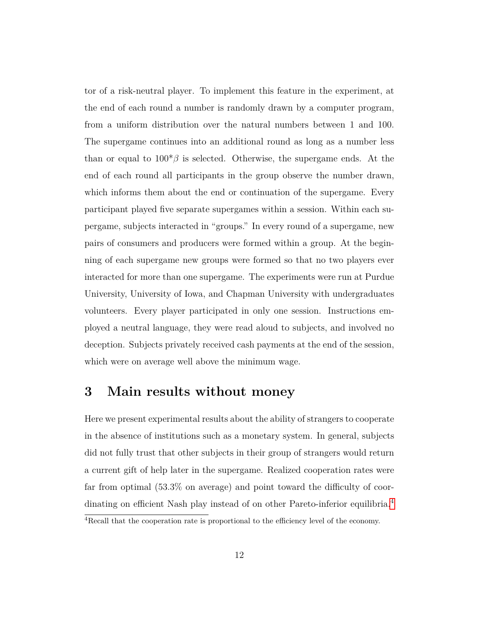tor of a risk-neutral player. To implement this feature in the experiment, at the end of each round a number is randomly drawn by a computer program, from a uniform distribution over the natural numbers between 1 and 100. The supergame continues into an additional round as long as a number less than or equal to  $100^*/\beta$  is selected. Otherwise, the supergame ends. At the end of each round all participants in the group observe the number drawn, which informs them about the end or continuation of the supergame. Every participant played five separate supergames within a session. Within each supergame, subjects interacted in "groups." In every round of a supergame, new pairs of consumers and producers were formed within a group. At the beginning of each supergame new groups were formed so that no two players ever interacted for more than one supergame. The experiments were run at Purdue University, University of Iowa, and Chapman University with undergraduates volunteers. Every player participated in only one session. Instructions employed a neutral language, they were read aloud to subjects, and involved no deception. Subjects privately received cash payments at the end of the session, which were on average well above the minimum wage.

## <span id="page-11-0"></span>**3 Main results without money**

Here we present experimental results about the ability of strangers to cooperate in the absence of institutions such as a monetary system. In general, subjects did not fully trust that other subjects in their group of strangers would return a current gift of help later in the supergame. Realized cooperation rates were far from optimal (53.3% on average) and point toward the difficulty of coor-dinating on efficient Nash play instead of on other Pareto-inferior equilibria.<sup>[4](#page-0-0)</sup>

<sup>&</sup>lt;sup>4</sup>Recall that the cooperation rate is proportional to the efficiency level of the economy.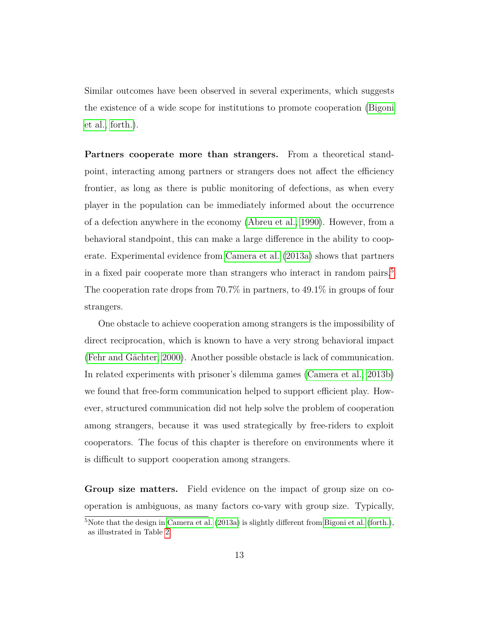Similar outcomes have been observed in several experiments, which suggests the existence of a wide scope for institutions to promote cooperation [\(Bigoni](#page-41-2) [et al., forth.\)](#page-41-2).

**Partners cooperate more than strangers.** From a theoretical standpoint, interacting among partners or strangers does not affect the efficiency frontier, as long as there is public monitoring of defections, as when every player in the population can be immediately informed about the occurrence of a defection anywhere in the economy [\(Abreu et al., 1990\)](#page-41-3). However, from a behavioral standpoint, this can make a large difference in the ability to cooperate. Experimental evidence from [Camera et al.](#page-41-4) [\(2013a\)](#page-41-4) shows that partners in a fixed pair cooperate more than strangers who interact in random pairs.<sup>[5](#page-0-0)</sup> The cooperation rate drops from 70.7% in partners, to 49.1% in groups of four strangers.

One obstacle to achieve cooperation among strangers is the impossibility of direct reciprocation, which is known to have a very strong behavioral impact (Fehr and Gächter, 2000). Another possible obstacle is lack of communication. In related experiments with prisoner's dilemma games [\(Camera et al., 2013b\)](#page-42-4) we found that free-form communication helped to support efficient play. However, structured communication did not help solve the problem of cooperation among strangers, because it was used strategically by free-riders to exploit cooperators. The focus of this chapter is therefore on environments where it is difficult to support cooperation among strangers.

**Group size matters.** Field evidence on the impact of group size on cooperation is ambiguous, as many factors co-vary with group size. Typically,

<sup>&</sup>lt;sup>5</sup>Note that the design in [Camera et al.](#page-41-4)  $(2013a)$  is slightly different from [Bigoni et al.](#page-41-2) [\(forth.\)](#page-41-2), as illustrated in Table [2.](#page-18-0)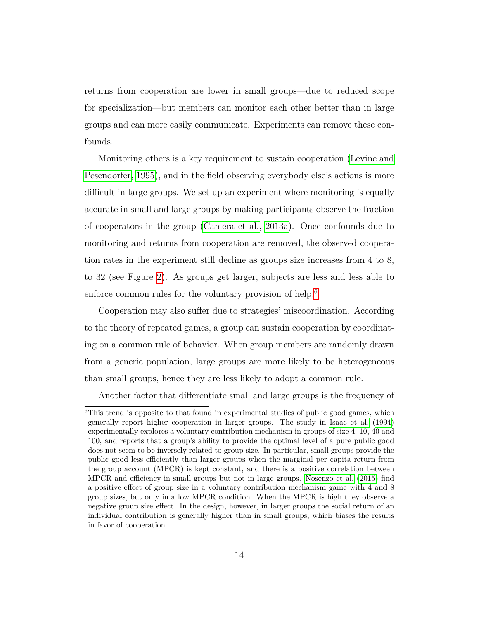returns from cooperation are lower in small groups—due to reduced scope for specialization—but members can monitor each other better than in large groups and can more easily communicate. Experiments can remove these confounds.

Monitoring others is a key requirement to sustain cooperation [\(Levine and](#page-44-9) [Pesendorfer, 1995\)](#page-44-9), and in the field observing everybody else's actions is more difficult in large groups. We set up an experiment where monitoring is equally accurate in small and large groups by making participants observe the fraction of cooperators in the group [\(Camera et al., 2013a\)](#page-41-4). Once confounds due to monitoring and returns from cooperation are removed, the observed cooperation rates in the experiment still decline as groups size increases from 4 to 8, to 32 (see Figure [2\)](#page-14-0). As groups get larger, subjects are less and less able to enforce common rules for the voluntary provision of help.<sup>[6](#page-0-0)</sup>

Cooperation may also suffer due to strategies' miscoordination. According to the theory of repeated games, a group can sustain cooperation by coordinating on a common rule of behavior. When group members are randomly drawn from a generic population, large groups are more likely to be heterogeneous than small groups, hence they are less likely to adopt a common rule.

Another factor that differentiate small and large groups is the frequency of

<sup>&</sup>lt;sup>6</sup>This trend is opposite to that found in experimental studies of public good games, which generally report higher cooperation in larger groups. The study in [Isaac et al.](#page-44-10) [\(1994\)](#page-44-10) experimentally explores a voluntary contribution mechanism in groups of size 4, 10, 40 and 100, and reports that a group's ability to provide the optimal level of a pure public good does not seem to be inversely related to group size. In particular, small groups provide the public good less efficiently than larger groups when the marginal per capita return from the group account (MPCR) is kept constant, and there is a positive correlation between MPCR and efficiency in small groups but not in large groups. [Nosenzo et al.](#page-45-4) [\(2015\)](#page-45-4) find a positive effect of group size in a voluntary contribution mechanism game with 4 and 8 group sizes, but only in a low MPCR condition. When the MPCR is high they observe a negative group size effect. In the design, however, in larger groups the social return of an individual contribution is generally higher than in small groups, which biases the results in favor of cooperation.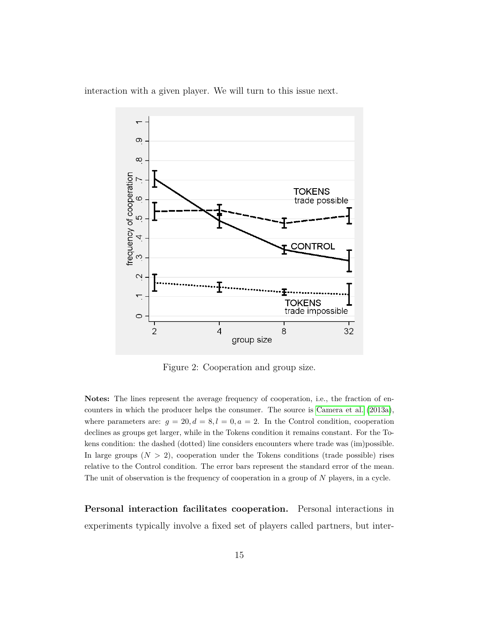<span id="page-14-0"></span>



Figure 2: Cooperation and group size.

**Notes:** The lines represent the average frequency of cooperation, i.e., the fraction of encounters in which the producer helps the consumer. The source is [Camera et al.](#page-41-4) [\(2013a\)](#page-41-4), where parameters are:  $g = 20, d = 8, l = 0, a = 2$ . In the Control condition, cooperation declines as groups get larger, while in the Tokens condition it remains constant. For the Tokens condition: the dashed (dotted) line considers encounters where trade was (im)possible. In large groups  $(N > 2)$ , cooperation under the Tokens conditions (trade possible) rises relative to the Control condition. The error bars represent the standard error of the mean. The unit of observation is the frequency of cooperation in a group of *N* players, in a cycle.

**Personal interaction facilitates cooperation.** Personal interactions in experiments typically involve a fixed set of players called partners, but inter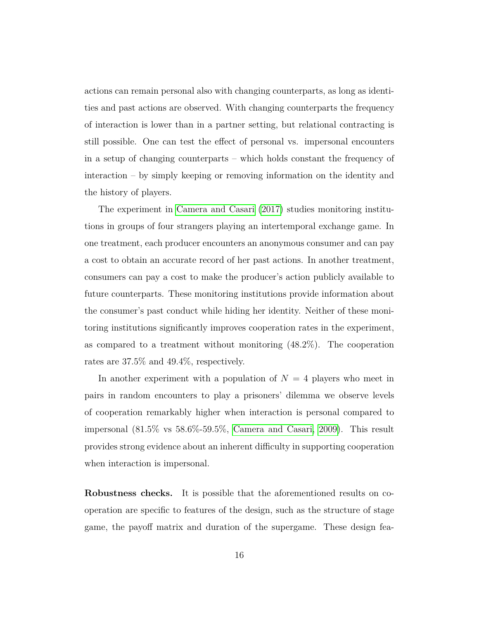actions can remain personal also with changing counterparts, as long as identities and past actions are observed. With changing counterparts the frequency of interaction is lower than in a partner setting, but relational contracting is still possible. One can test the effect of personal vs. impersonal encounters in a setup of changing counterparts – which holds constant the frequency of interaction – by simply keeping or removing information on the identity and the history of players.

The experiment in [Camera and Casari](#page-41-5) [\(2017\)](#page-41-5) studies monitoring institutions in groups of four strangers playing an intertemporal exchange game. In one treatment, each producer encounters an anonymous consumer and can pay a cost to obtain an accurate record of her past actions. In another treatment, consumers can pay a cost to make the producer's action publicly available to future counterparts. These monitoring institutions provide information about the consumer's past conduct while hiding her identity. Neither of these monitoring institutions significantly improves cooperation rates in the experiment, as compared to a treatment without monitoring  $(48.2\%)$ . The cooperation rates are 37.5% and 49.4%, respectively.

In another experiment with a population of  $N = 4$  players who meet in pairs in random encounters to play a prisoners' dilemma we observe levels of cooperation remarkably higher when interaction is personal compared to impersonal (81.5% vs 58.6%-59.5%, [Camera and Casari, 2009\)](#page-41-6). This result provides strong evidence about an inherent difficulty in supporting cooperation when interaction is impersonal.

**Robustness checks.** It is possible that the aforementioned results on cooperation are specific to features of the design, such as the structure of stage game, the payoff matrix and duration of the supergame. These design fea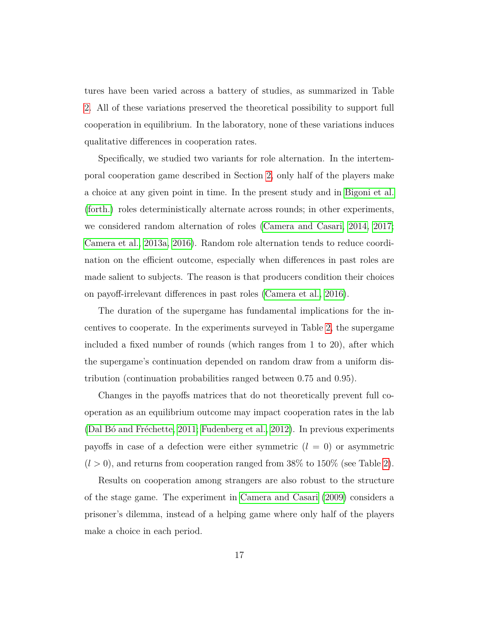tures have been varied across a battery of studies, as summarized in Table [2.](#page-18-0) All of these variations preserved the theoretical possibility to support full cooperation in equilibrium. In the laboratory, none of these variations induces qualitative differences in cooperation rates.

Specifically, we studied two variants for role alternation. In the intertemporal cooperation game described in Section [2,](#page-5-0) only half of the players make a choice at any given point in time. In the present study and in [Bigoni et al.](#page-41-2) [\(forth.\)](#page-41-2) roles deterministically alternate across rounds; in other experiments, we considered random alternation of roles [\(Camera and Casari, 2014,](#page-41-7) [2017;](#page-41-5) [Camera et al., 2013a,](#page-41-4) [2016\)](#page-42-5). Random role alternation tends to reduce coordination on the efficient outcome, especially when differences in past roles are made salient to subjects. The reason is that producers condition their choices on payoff-irrelevant differences in past roles [\(Camera et al., 2016\)](#page-42-5).

The duration of the supergame has fundamental implications for the incentives to cooperate. In the experiments surveyed in Table [2,](#page-18-0) the supergame included a fixed number of rounds (which ranges from 1 to 20), after which the supergame's continuation depended on random draw from a uniform distribution (continuation probabilities ranged between 0.75 and 0.95).

Changes in the payoffs matrices that do not theoretically prevent full cooperation as an equilibrium outcome may impact cooperation rates in the lab (Dal B $\acute{o}$  and Fréchette, 2011; [Fudenberg et al., 2012\)](#page-43-7). In previous experiments payoffs in case of a defection were either symmetric  $(l = 0)$  or asymmetric  $(l > 0)$ , and returns from cooperation ranged from 38% to 150% (see Table [2\)](#page-18-0).

Results on cooperation among strangers are also robust to the structure of the stage game. The experiment in [Camera and Casari](#page-41-6) [\(2009\)](#page-41-6) considers a prisoner's dilemma, instead of a helping game where only half of the players make a choice in each period.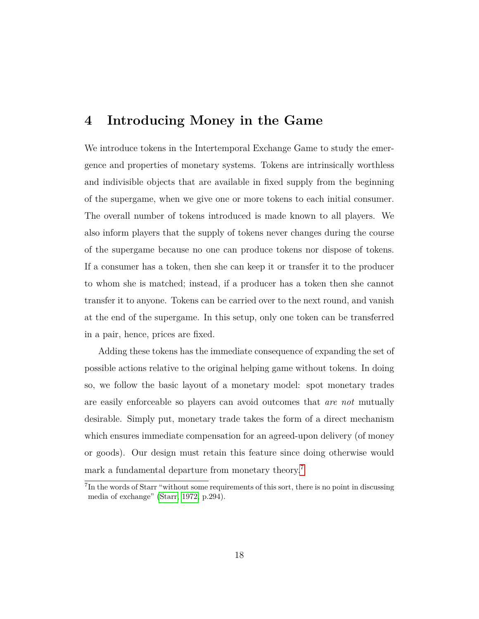### <span id="page-17-0"></span>**4 Introducing Money in the Game**

We introduce tokens in the Intertemporal Exchange Game to study the emergence and properties of monetary systems. Tokens are intrinsically worthless and indivisible objects that are available in fixed supply from the beginning of the supergame, when we give one or more tokens to each initial consumer. The overall number of tokens introduced is made known to all players. We also inform players that the supply of tokens never changes during the course of the supergame because no one can produce tokens nor dispose of tokens. If a consumer has a token, then she can keep it or transfer it to the producer to whom she is matched; instead, if a producer has a token then she cannot transfer it to anyone. Tokens can be carried over to the next round, and vanish at the end of the supergame. In this setup, only one token can be transferred in a pair, hence, prices are fixed.

Adding these tokens has the immediate consequence of expanding the set of possible actions relative to the original helping game without tokens. In doing so, we follow the basic layout of a monetary model: spot monetary trades are easily enforceable so players can avoid outcomes that *are not* mutually desirable. Simply put, monetary trade takes the form of a direct mechanism which ensures immediate compensation for an agreed-upon delivery (of money or goods). Our design must retain this feature since doing otherwise would mark a fundamental departure from monetary theory.<sup>[7](#page-0-0)</sup>

<sup>&</sup>lt;sup>7</sup>In the words of Starr "without some requirements of this sort, there is no point in discussing media of exchange" [\(Starr, 1972,](#page-46-8) p.294).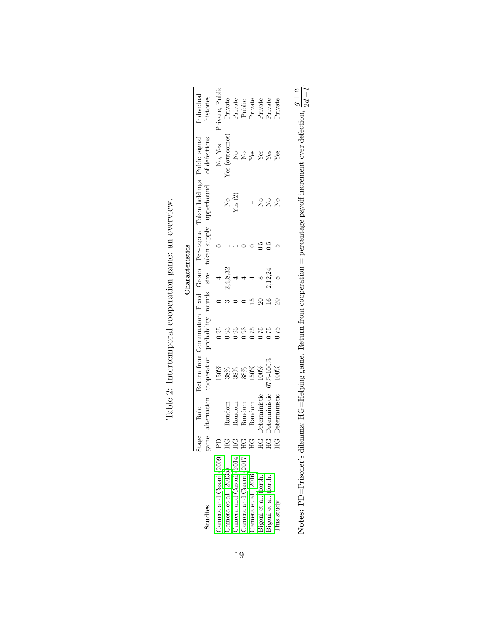<span id="page-18-0"></span>

|                             |        |                      |                                                 |                                                                                                                                                                                                                                                                                                               | Characteristics      |                                                                              |                                          |                                                                          |
|-----------------------------|--------|----------------------|-------------------------------------------------|---------------------------------------------------------------------------------------------------------------------------------------------------------------------------------------------------------------------------------------------------------------------------------------------------------------|----------------------|------------------------------------------------------------------------------|------------------------------------------|--------------------------------------------------------------------------|
|                             | Stage  | Role                 |                                                 |                                                                                                                                                                                                                                                                                                               |                      | Return from Continuation Fixed Group Per-capita Token holdings Public signal |                                          | Individual                                                               |
| Studies                     |        |                      | alternation cooperation probability rounds size |                                                                                                                                                                                                                                                                                                               |                      | token supply upperbound                                                      | of defections                            | histories                                                                |
| Camera and Casari (2009) PD |        |                      | $150\%$                                         | 0.95                                                                                                                                                                                                                                                                                                          | $\overline{a}$       |                                                                              | $\rm{No, \; Yes} \\ \rm{Yes}$ (outcomes) | $\overline{\mathsf{Private}},\,\mathsf{Public}$                          |
| Camera et al. (2013a)       |        | Random               |                                                 | $\begin{array}{c} 0.93 \\ 0.93 \\ 0.00 \\ 0.01 \\ 0.01 \\ 0.01 \\ 0.01 \\ 0.01 \\ 0.01 \\ 0.01 \\ 0.01 \\ 0.01 \\ 0.01 \\ 0.01 \\ 0.01 \\ 0.01 \\ 0.01 \\ 0.01 \\ 0.01 \\ 0.01 \\ 0.01 \\ 0.01 \\ 0.01 \\ 0.01 \\ 0.01 \\ 0.01 \\ 0.01 \\ 0.01 \\ 0.01 \\ 0.01 \\ 0.01 \\ 0.01 \\ 0.01 \\ 0.01 \\ 0.01 \\ 0.$ | 2,4,8,32             | $\frac{1}{\text{N}_\text{es}(2)}$                                            |                                          |                                                                          |
| Camera and Casari (2014)    |        | Random               |                                                 |                                                                                                                                                                                                                                                                                                               |                      |                                                                              | $\mathcal{L}_{\mathbf{Q}}$               |                                                                          |
| Camera and Casari (2017)    |        |                      |                                                 |                                                                                                                                                                                                                                                                                                               |                      |                                                                              |                                          |                                                                          |
| Camera et al. $(2016)$      |        | Random<br>Random     | 38 % % %<br>38 % % % % 38<br>38 % 49 % 90       |                                                                                                                                                                                                                                                                                                               | $\rightarrow \infty$ |                                                                              | $Xg$ $Xg$<br>$Xg$ $Xg$                   | Private<br>Private<br>Public<br>Private<br>Private<br>Private<br>Private |
| Bigoni et al. (forth.)      |        | <b>Deterministic</b> |                                                 |                                                                                                                                                                                                                                                                                                               |                      |                                                                              |                                          |                                                                          |
| 3igoni et al. (forth.)      |        | <b>Deterministic</b> | $67\%-100\%$                                    |                                                                                                                                                                                                                                                                                                               | 2,12,24              | $z$ $z$ $z$                                                                  |                                          |                                                                          |
| This study                  | С<br>Н | Deterministic        | 100%                                            |                                                                                                                                                                                                                                                                                                               |                      |                                                                              |                                          |                                                                          |
|                             |        |                      |                                                 |                                                                                                                                                                                                                                                                                                               |                      |                                                                              |                                          |                                                                          |

| J<br>l<br>١<br>I<br>r<br>C<br>j                                              |
|------------------------------------------------------------------------------|
| )<br>Í<br>١                                                                  |
| j<br>J<br>I<br>í<br>ł                                                        |
| しょうきん こうしょく キャルキ<br>j<br>I<br>١<br>l<br>I<br>Í<br>J<br>i<br>Í<br>ţ<br>Í<br>I |
| Ì<br>$\ddot{\phantom{0}}$                                                    |
| )<br>j<br>١<br>l                                                             |

Notes: PD=Prisoner's dilemma; HG=Helping game. Return from cooperation = percentage payoff increment over defection,  $\frac{g+a}{2d-l}$ . **Notes:** PD=Prisoner's dilemma; HG=Helping game. Return from cooperation = percentage payoff increment over defection, *g* + *a* 2*d* − *l*.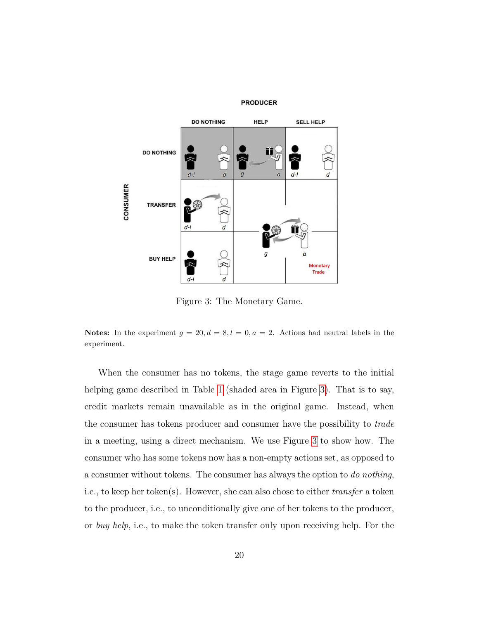<span id="page-19-0"></span>

Figure 3: The Monetary Game.

**Notes:** In the experiment  $g = 20, d = 8, l = 0, a = 2$ . Actions had neutral labels in the experiment.

When the consumer has no tokens, the stage game reverts to the initial helping game described in Table [1](#page-6-0) (shaded area in Figure [3\)](#page-19-0). That is to say, credit markets remain unavailable as in the original game. Instead, when the consumer has tokens producer and consumer have the possibility to *trade* in a meeting, using a direct mechanism. We use Figure [3](#page-19-0) to show how. The consumer who has some tokens now has a non-empty actions set, as opposed to a consumer without tokens. The consumer has always the option to *do nothing*, i.e., to keep her token(s). However, she can also chose to either *transfer* a token to the producer, i.e., to unconditionally give one of her tokens to the producer, or *buy help*, i.e., to make the token transfer only upon receiving help. For the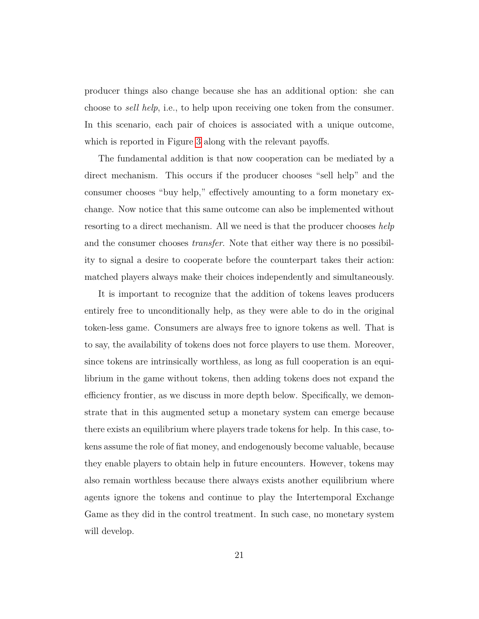producer things also change because she has an additional option: she can choose to *sell help*, i.e., to help upon receiving one token from the consumer. In this scenario, each pair of choices is associated with a unique outcome, which is reported in Figure [3](#page-19-0) along with the relevant payoffs.

The fundamental addition is that now cooperation can be mediated by a direct mechanism. This occurs if the producer chooses "sell help" and the consumer chooses "buy help," effectively amounting to a form monetary exchange. Now notice that this same outcome can also be implemented without resorting to a direct mechanism. All we need is that the producer chooses *help* and the consumer chooses *transfer*. Note that either way there is no possibility to signal a desire to cooperate before the counterpart takes their action: matched players always make their choices independently and simultaneously.

It is important to recognize that the addition of tokens leaves producers entirely free to unconditionally help, as they were able to do in the original token-less game. Consumers are always free to ignore tokens as well. That is to say, the availability of tokens does not force players to use them. Moreover, since tokens are intrinsically worthless, as long as full cooperation is an equilibrium in the game without tokens, then adding tokens does not expand the efficiency frontier, as we discuss in more depth below. Specifically, we demonstrate that in this augmented setup a monetary system can emerge because there exists an equilibrium where players trade tokens for help. In this case, tokens assume the role of fiat money, and endogenously become valuable, because they enable players to obtain help in future encounters. However, tokens may also remain worthless because there always exists another equilibrium where agents ignore the tokens and continue to play the Intertemporal Exchange Game as they did in the control treatment. In such case, no monetary system will develop.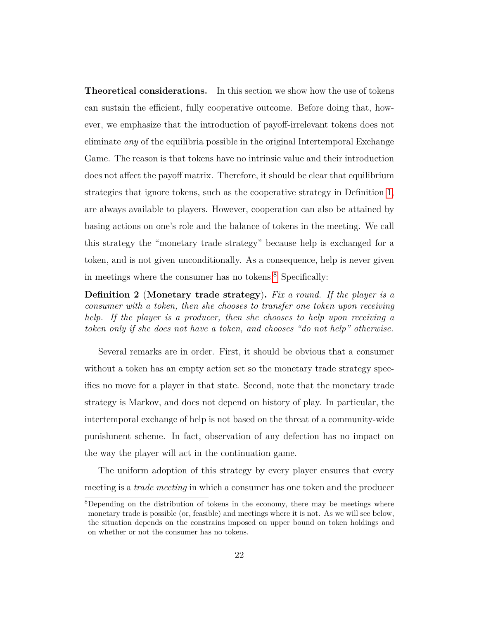**Theoretical considerations.** In this section we show how the use of tokens can sustain the efficient, fully cooperative outcome. Before doing that, however, we emphasize that the introduction of payoff-irrelevant tokens does not eliminate *any* of the equilibria possible in the original Intertemporal Exchange Game. The reason is that tokens have no intrinsic value and their introduction does not affect the payoff matrix. Therefore, it should be clear that equilibrium strategies that ignore tokens, such as the cooperative strategy in Definition [1,](#page-8-0) are always available to players. However, cooperation can also be attained by basing actions on one's role and the balance of tokens in the meeting. We call this strategy the "monetary trade strategy" because help is exchanged for a token, and is not given unconditionally. As a consequence, help is never given in meetings where the consumer has no tokens.[8](#page-0-0) Specifically:

**Definition 2** (**Monetary trade strategy**)**.** *Fix a round. If the player is a consumer with a token, then she chooses to transfer one token upon receiving help. If the player is a producer, then she chooses to help upon receiving a token only if she does not have a token, and chooses "do not help" otherwise.*

Several remarks are in order. First, it should be obvious that a consumer without a token has an empty action set so the monetary trade strategy specifies no move for a player in that state. Second, note that the monetary trade strategy is Markov, and does not depend on history of play. In particular, the intertemporal exchange of help is not based on the threat of a community-wide punishment scheme. In fact, observation of any defection has no impact on the way the player will act in the continuation game.

The uniform adoption of this strategy by every player ensures that every meeting is a *trade meeting* in which a consumer has one token and the producer

<sup>8</sup>Depending on the distribution of tokens in the economy, there may be meetings where monetary trade is possible (or, feasible) and meetings where it is not. As we will see below, the situation depends on the constrains imposed on upper bound on token holdings and on whether or not the consumer has no tokens.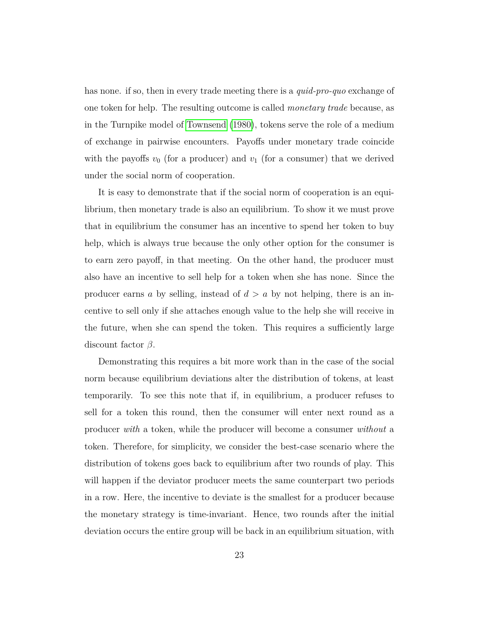has none. if so, then in every trade meeting there is a *quid-pro-quo* exchange of one token for help. The resulting outcome is called *monetary trade* because, as in the Turnpike model of [Townsend](#page-46-3) [\(1980\)](#page-46-3), tokens serve the role of a medium of exchange in pairwise encounters. Payoffs under monetary trade coincide with the payoffs  $v_0$  (for a producer) and  $v_1$  (for a consumer) that we derived under the social norm of cooperation.

It is easy to demonstrate that if the social norm of cooperation is an equilibrium, then monetary trade is also an equilibrium. To show it we must prove that in equilibrium the consumer has an incentive to spend her token to buy help, which is always true because the only other option for the consumer is to earn zero payoff, in that meeting. On the other hand, the producer must also have an incentive to sell help for a token when she has none. Since the producer earns *a* by selling, instead of *d > a* by not helping, there is an incentive to sell only if she attaches enough value to the help she will receive in the future, when she can spend the token. This requires a sufficiently large discount factor *β*.

Demonstrating this requires a bit more work than in the case of the social norm because equilibrium deviations alter the distribution of tokens, at least temporarily. To see this note that if, in equilibrium, a producer refuses to sell for a token this round, then the consumer will enter next round as a producer *with* a token, while the producer will become a consumer *without* a token. Therefore, for simplicity, we consider the best-case scenario where the distribution of tokens goes back to equilibrium after two rounds of play. This will happen if the deviator producer meets the same counterpart two periods in a row. Here, the incentive to deviate is the smallest for a producer because the monetary strategy is time-invariant. Hence, two rounds after the initial deviation occurs the entire group will be back in an equilibrium situation, with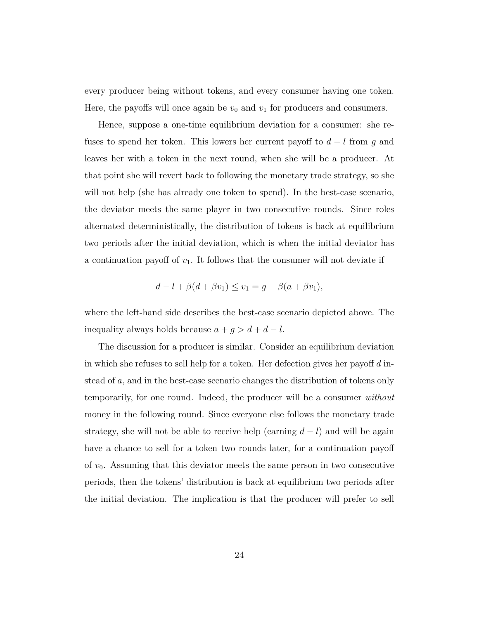every producer being without tokens, and every consumer having one token. Here, the payoffs will once again be  $v_0$  and  $v_1$  for producers and consumers.

Hence, suppose a one-time equilibrium deviation for a consumer: she refuses to spend her token. This lowers her current payoff to *d* − *l* from *g* and leaves her with a token in the next round, when she will be a producer. At that point she will revert back to following the monetary trade strategy, so she will not help (she has already one token to spend). In the best-case scenario, the deviator meets the same player in two consecutive rounds. Since roles alternated deterministically, the distribution of tokens is back at equilibrium two periods after the initial deviation, which is when the initial deviator has a continuation payoff of *v*1. It follows that the consumer will not deviate if

$$
d-l+\beta(d+\beta v_1)\leq v_1=g+\beta(a+\beta v_1),
$$

where the left-hand side describes the best-case scenario depicted above. The inequality always holds because  $a + g > d + d - l$ .

The discussion for a producer is similar. Consider an equilibrium deviation in which she refuses to sell help for a token. Her defection gives her payoff *d* instead of *a*, and in the best-case scenario changes the distribution of tokens only temporarily, for one round. Indeed, the producer will be a consumer *without* money in the following round. Since everyone else follows the monetary trade strategy, she will not be able to receive help (earning  $d - l$ ) and will be again have a chance to sell for a token two rounds later, for a continuation payoff of *v*0. Assuming that this deviator meets the same person in two consecutive periods, then the tokens' distribution is back at equilibrium two periods after the initial deviation. The implication is that the producer will prefer to sell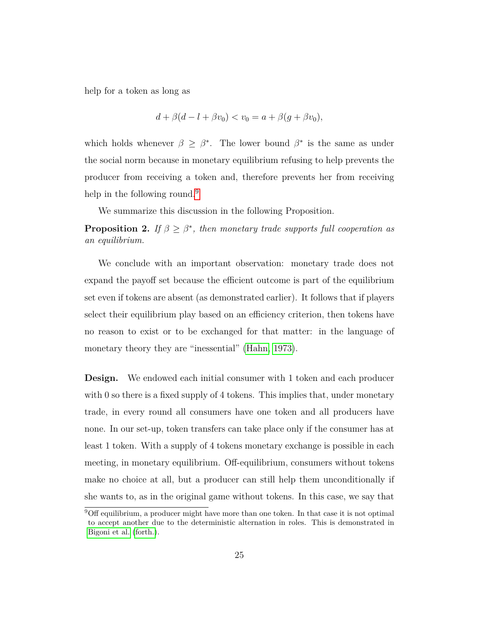help for a token as long as

$$
d + \beta(d - l + \beta v_0) < v_0 = a + \beta(g + \beta v_0),
$$

which holds whenever  $\beta \geq \beta^*$ . The lower bound  $\beta^*$  is the same as under the social norm because in monetary equilibrium refusing to help prevents the producer from receiving a token and, therefore prevents her from receiving help in the following round.<sup>[9](#page-0-0)</sup>

We summarize this discussion in the following Proposition.

**Proposition 2.** *If*  $\beta \geq \beta^*$ , then monetary trade supports full cooperation as *an equilibrium.*

We conclude with an important observation: monetary trade does not expand the payoff set because the efficient outcome is part of the equilibrium set even if tokens are absent (as demonstrated earlier). It follows that if players select their equilibrium play based on an efficiency criterion, then tokens have no reason to exist or to be exchanged for that matter: in the language of monetary theory they are "inessential" [\(Hahn, 1973\)](#page-43-2).

**Design.** We endowed each initial consumer with 1 token and each producer with 0 so there is a fixed supply of 4 tokens. This implies that, under monetary trade, in every round all consumers have one token and all producers have none. In our set-up, token transfers can take place only if the consumer has at least 1 token. With a supply of 4 tokens monetary exchange is possible in each meeting, in monetary equilibrium. Off-equilibrium, consumers without tokens make no choice at all, but a producer can still help them unconditionally if she wants to, as in the original game without tokens. In this case, we say that

<sup>9</sup>Off equilibrium, a producer might have more than one token. In that case it is not optimal to accept another due to the deterministic alternation in roles. This is demonstrated in [Bigoni et al.](#page-41-2) [\(forth.\)](#page-41-2).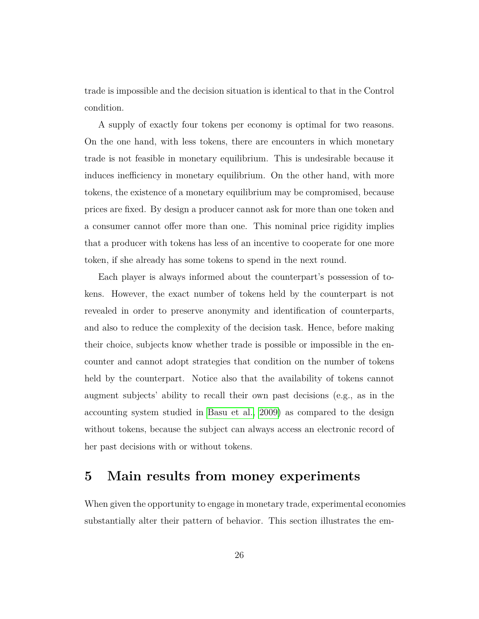trade is impossible and the decision situation is identical to that in the Control condition.

A supply of exactly four tokens per economy is optimal for two reasons. On the one hand, with less tokens, there are encounters in which monetary trade is not feasible in monetary equilibrium. This is undesirable because it induces inefficiency in monetary equilibrium. On the other hand, with more tokens, the existence of a monetary equilibrium may be compromised, because prices are fixed. By design a producer cannot ask for more than one token and a consumer cannot offer more than one. This nominal price rigidity implies that a producer with tokens has less of an incentive to cooperate for one more token, if she already has some tokens to spend in the next round.

Each player is always informed about the counterpart's possession of tokens. However, the exact number of tokens held by the counterpart is not revealed in order to preserve anonymity and identification of counterparts, and also to reduce the complexity of the decision task. Hence, before making their choice, subjects know whether trade is possible or impossible in the encounter and cannot adopt strategies that condition on the number of tokens held by the counterpart. Notice also that the availability of tokens cannot augment subjects' ability to recall their own past decisions (e.g., as in the accounting system studied in [Basu et al., 2009\)](#page-41-9) as compared to the design without tokens, because the subject can always access an electronic record of her past decisions with or without tokens.

#### <span id="page-25-0"></span>**5 Main results from money experiments**

When given the opportunity to engage in monetary trade, experimental economies substantially alter their pattern of behavior. This section illustrates the em-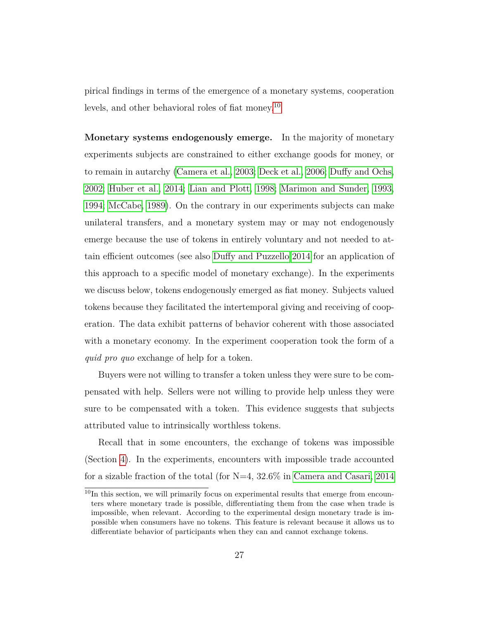pirical findings in terms of the emergence of a monetary systems, cooperation levels, and other behavioral roles of fiat money.[10](#page-0-0)

**Monetary systems endogenously emerge.** In the majority of monetary experiments subjects are constrained to either exchange goods for money, or to remain in autarchy [\(Camera et al., 2003;](#page-42-7) [Deck et al., 2006;](#page-42-8) [Duffy and Ochs,](#page-43-8) [2002;](#page-43-8) [Huber et al., 2014;](#page-44-11) [Lian and Plott, 1998;](#page-44-12) [Marimon and Sunder, 1993,](#page-45-5) [1994;](#page-45-6) [McCabe, 1989\)](#page-45-7). On the contrary in our experiments subjects can make unilateral transfers, and a monetary system may or may not endogenously emerge because the use of tokens in entirely voluntary and not needed to attain efficient outcomes (see also [Duffy and Puzzello 2014](#page-43-9) for an application of this approach to a specific model of monetary exchange). In the experiments we discuss below, tokens endogenously emerged as fiat money. Subjects valued tokens because they facilitated the intertemporal giving and receiving of cooperation. The data exhibit patterns of behavior coherent with those associated with a monetary economy. In the experiment cooperation took the form of a *quid pro quo* exchange of help for a token.

Buyers were not willing to transfer a token unless they were sure to be compensated with help. Sellers were not willing to provide help unless they were sure to be compensated with a token. This evidence suggests that subjects attributed value to intrinsically worthless tokens.

Recall that in some encounters, the exchange of tokens was impossible (Section [4\)](#page-17-0). In the experiments, encounters with impossible trade accounted for a sizable fraction of the total (for N=4, 32.6% in [Camera and Casari, 2014](#page-41-7)

 $10$ In this section, we will primarily focus on experimental results that emerge from encounters where monetary trade is possible, differentiating them from the case when trade is impossible, when relevant. According to the experimental design monetary trade is impossible when consumers have no tokens. This feature is relevant because it allows us to differentiate behavior of participants when they can and cannot exchange tokens.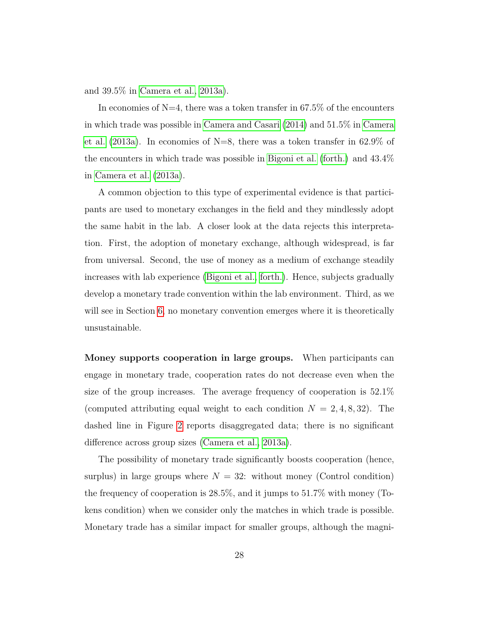and 39.5% in [Camera et al., 2013a\)](#page-41-4).

In economies of  $N=4$ , there was a token transfer in 67.5% of the encounters in which trade was possible in [Camera and Casari](#page-41-7) [\(2014\)](#page-41-7) and 51.5% in [Camera](#page-41-4) [et al.](#page-41-4) [\(2013a\)](#page-41-4). In economies of  $N=8$ , there was a token transfer in 62.9% of the encounters in which trade was possible in [Bigoni et al.](#page-41-2) [\(forth.\)](#page-41-2) and 43.4% in [Camera et al.](#page-41-4) [\(2013a\)](#page-41-4).

A common objection to this type of experimental evidence is that participants are used to monetary exchanges in the field and they mindlessly adopt the same habit in the lab. A closer look at the data rejects this interpretation. First, the adoption of monetary exchange, although widespread, is far from universal. Second, the use of money as a medium of exchange steadily increases with lab experience [\(Bigoni et al., forth.\)](#page-41-2). Hence, subjects gradually develop a monetary trade convention within the lab environment. Third, as we will see in Section [6,](#page-31-0) no monetary convention emerges where it is theoretically unsustainable.

**Money supports cooperation in large groups.** When participants can engage in monetary trade, cooperation rates do not decrease even when the size of the group increases. The average frequency of cooperation is 52.1% (computed attributing equal weight to each condition  $N = 2, 4, 8, 32$ ). The dashed line in Figure [2](#page-14-0) reports disaggregated data; there is no significant difference across group sizes [\(Camera et al., 2013a\)](#page-41-4).

The possibility of monetary trade significantly boosts cooperation (hence, surplus) in large groups where  $N = 32$ : without money (Control condition) the frequency of cooperation is 28.5%, and it jumps to 51.7% with money (Tokens condition) when we consider only the matches in which trade is possible. Monetary trade has a similar impact for smaller groups, although the magni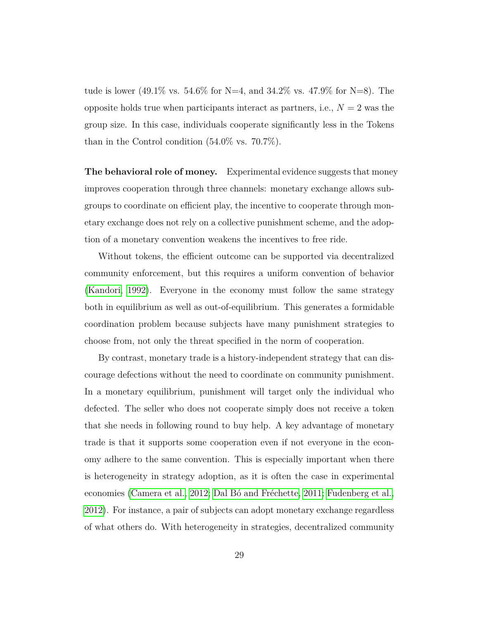tude is lower (49.1% vs. 54.6% for N=4, and 34.2% vs. 47.9% for N=8). The opposite holds true when participants interact as partners, i.e.,  $N = 2$  was the group size. In this case, individuals cooperate significantly less in the Tokens than in the Control condition (54*.*0% vs. 70*.*7%).

**The behavioral role of money.** Experimental evidence suggests that money improves cooperation through three channels: monetary exchange allows subgroups to coordinate on efficient play, the incentive to cooperate through monetary exchange does not rely on a collective punishment scheme, and the adoption of a monetary convention weakens the incentives to free ride.

Without tokens, the efficient outcome can be supported via decentralized community enforcement, but this requires a uniform convention of behavior [\(Kandori, 1992\)](#page-44-7). Everyone in the economy must follow the same strategy both in equilibrium as well as out-of-equilibrium. This generates a formidable coordination problem because subjects have many punishment strategies to choose from, not only the threat specified in the norm of cooperation.

By contrast, monetary trade is a history-independent strategy that can discourage defections without the need to coordinate on community punishment. In a monetary equilibrium, punishment will target only the individual who defected. The seller who does not cooperate simply does not receive a token that she needs in following round to buy help. A key advantage of monetary trade is that it supports some cooperation even if not everyone in the economy adhere to the same convention. This is especially important when there is heterogeneity in strategy adoption, as it is often the case in experimental economies [\(Camera et al., 2012;](#page-41-10) Dal Bó and Fréchette, 2011; [Fudenberg et al.,](#page-43-7) [2012\)](#page-43-7). For instance, a pair of subjects can adopt monetary exchange regardless of what others do. With heterogeneity in strategies, decentralized community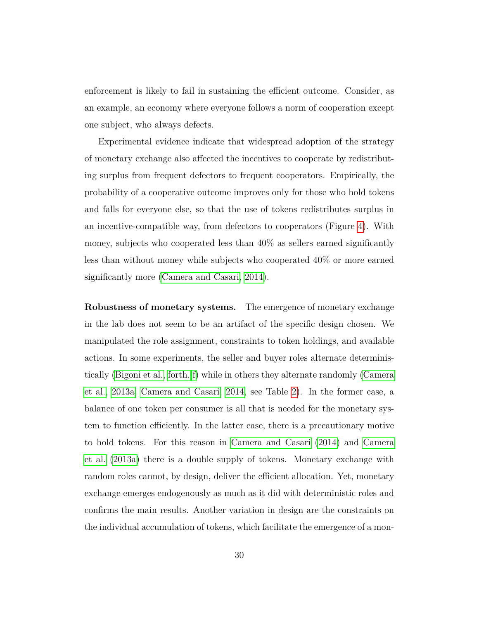enforcement is likely to fail in sustaining the efficient outcome. Consider, as an example, an economy where everyone follows a norm of cooperation except one subject, who always defects.

Experimental evidence indicate that widespread adoption of the strategy of monetary exchange also affected the incentives to cooperate by redistributing surplus from frequent defectors to frequent cooperators. Empirically, the probability of a cooperative outcome improves only for those who hold tokens and falls for everyone else, so that the use of tokens redistributes surplus in an incentive-compatible way, from defectors to cooperators (Figure [4\)](#page-30-0). With money, subjects who cooperated less than 40% as sellers earned significantly less than without money while subjects who cooperated 40% or more earned significantly more [\(Camera and Casari, 2014\)](#page-41-7).

**Robustness of monetary systems.** The emergence of monetary exchange in the lab does not seem to be an artifact of the specific design chosen. We manipulated the role assignment, constraints to token holdings, and available actions. In some experiments, the seller and buyer roles alternate deterministically [\(Bigoni et al., forth.,](#page-41-8)[f\)](#page-41-2) while in others they alternate randomly [\(Camera](#page-41-4) [et al., 2013a,](#page-41-4) [Camera and Casari, 2014,](#page-41-7) see Table [2\)](#page-18-0). In the former case, a balance of one token per consumer is all that is needed for the monetary system to function efficiently. In the latter case, there is a precautionary motive to hold tokens. For this reason in [Camera and Casari](#page-41-7) [\(2014\)](#page-41-7) and [Camera](#page-41-4) [et al.](#page-41-4) [\(2013a\)](#page-41-4) there is a double supply of tokens. Monetary exchange with random roles cannot, by design, deliver the efficient allocation. Yet, monetary exchange emerges endogenously as much as it did with deterministic roles and confirms the main results. Another variation in design are the constraints on the individual accumulation of tokens, which facilitate the emergence of a mon-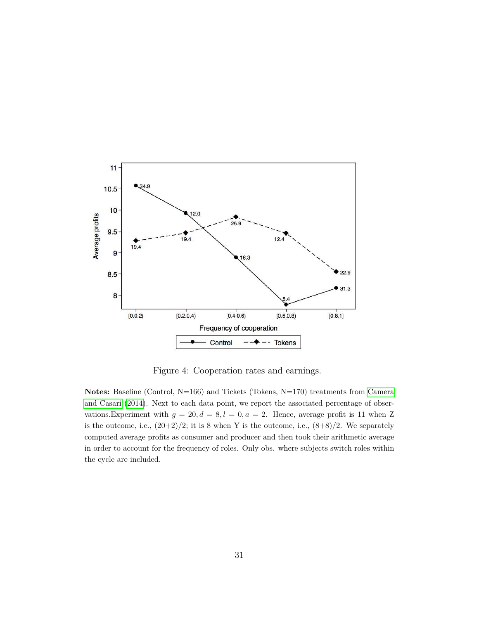<span id="page-30-0"></span>

Figure 4: Cooperation rates and earnings.

**Notes:** Baseline (Control, N=166) and Tickets (Tokens, N=170) treatments from [Camera](#page-41-7) [and Casari](#page-41-7) [\(2014\)](#page-41-7). Next to each data point, we report the associated percentage of observations.Experiment with  $g = 20, d = 8, l = 0, a = 2$ . Hence, average profit is 11 when Z is the outcome, i.e.,  $(20+2)/2$ ; it is 8 when Y is the outcome, i.e.,  $(8+8)/2$ . We separately computed average profits as consumer and producer and then took their arithmetic average in order to account for the frequency of roles. Only obs. where subjects switch roles within the cycle are included.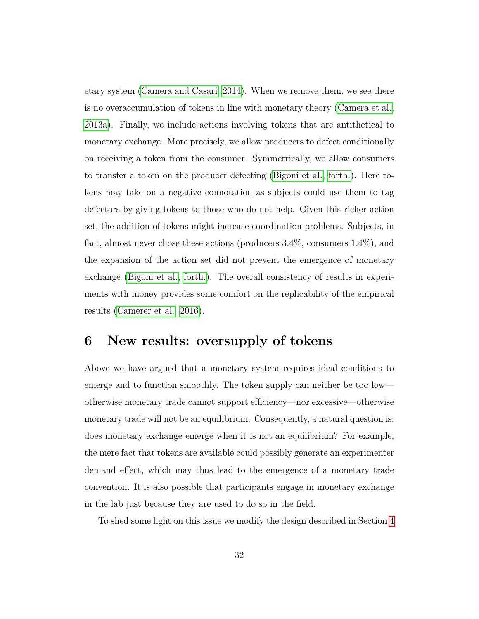etary system [\(Camera and Casari, 2014\)](#page-41-7). When we remove them, we see there is no overaccumulation of tokens in line with monetary theory [\(Camera et al.,](#page-41-4) [2013a\)](#page-41-4). Finally, we include actions involving tokens that are antithetical to monetary exchange. More precisely, we allow producers to defect conditionally on receiving a token from the consumer. Symmetrically, we allow consumers to transfer a token on the producer defecting [\(Bigoni et al., forth.\)](#page-41-2). Here tokens may take on a negative connotation as subjects could use them to tag defectors by giving tokens to those who do not help. Given this richer action set, the addition of tokens might increase coordination problems. Subjects, in fact, almost never chose these actions (producers 3.4%, consumers 1.4%), and the expansion of the action set did not prevent the emergence of monetary exchange [\(Bigoni et al., forth.\)](#page-41-2). The overall consistency of results in experiments with money provides some comfort on the replicability of the empirical results [\(Camerer et al., 2016\)](#page-42-9).

## <span id="page-31-0"></span>**6 New results: oversupply of tokens**

Above we have argued that a monetary system requires ideal conditions to emerge and to function smoothly. The token supply can neither be too low otherwise monetary trade cannot support efficiency—nor excessive—otherwise monetary trade will not be an equilibrium. Consequently, a natural question is: does monetary exchange emerge when it is not an equilibrium? For example, the mere fact that tokens are available could possibly generate an experimenter demand effect, which may thus lead to the emergence of a monetary trade convention. It is also possible that participants engage in monetary exchange in the lab just because they are used to do so in the field.

To shed some light on this issue we modify the design described in Section [4](#page-17-0)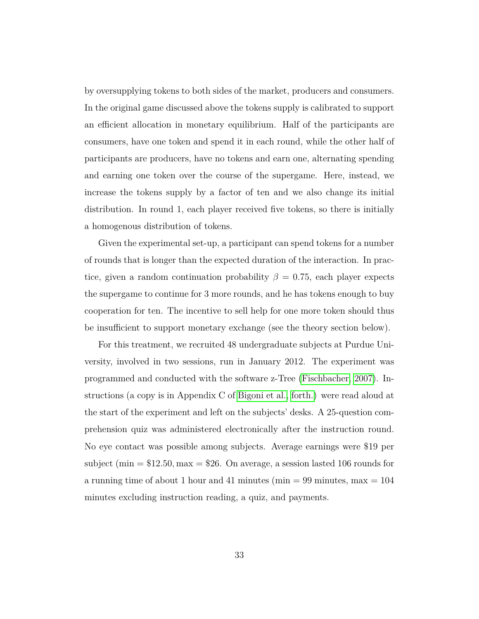by oversupplying tokens to both sides of the market, producers and consumers. In the original game discussed above the tokens supply is calibrated to support an efficient allocation in monetary equilibrium. Half of the participants are consumers, have one token and spend it in each round, while the other half of participants are producers, have no tokens and earn one, alternating spending and earning one token over the course of the supergame. Here, instead, we increase the tokens supply by a factor of ten and we also change its initial distribution. In round 1, each player received five tokens, so there is initially a homogenous distribution of tokens.

Given the experimental set-up, a participant can spend tokens for a number of rounds that is longer than the expected duration of the interaction. In practice, given a random continuation probability  $\beta = 0.75$ , each player expects the supergame to continue for 3 more rounds, and he has tokens enough to buy cooperation for ten. The incentive to sell help for one more token should thus be insufficient to support monetary exchange (see the theory section below).

For this treatment, we recruited 48 undergraduate subjects at Purdue University, involved in two sessions, run in January 2012. The experiment was programmed and conducted with the software z-Tree [\(Fischbacher, 2007\)](#page-43-10). Instructions (a copy is in Appendix C of [Bigoni et al., forth.\)](#page-41-2) were read aloud at the start of the experiment and left on the subjects' desks. A 25-question comprehension quiz was administered electronically after the instruction round. No eye contact was possible among subjects. Average earnings were \$19 per subject (min = \$12*.*50*,* max = \$26. On average, a session lasted 106 rounds for a running time of about 1 hour and 41 minutes (min  $= 99$  minutes, max  $= 104$ ) minutes excluding instruction reading, a quiz, and payments.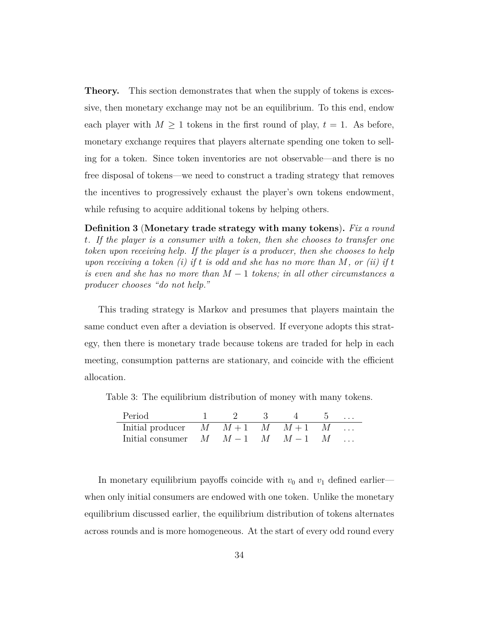**Theory.** This section demonstrates that when the supply of tokens is excessive, then monetary exchange may not be an equilibrium. To this end, endow each player with  $M \geq 1$  tokens in the first round of play,  $t = 1$ . As before, monetary exchange requires that players alternate spending one token to selling for a token. Since token inventories are not observable—and there is no free disposal of tokens—we need to construct a trading strategy that removes the incentives to progressively exhaust the player's own tokens endowment, while refusing to acquire additional tokens by helping others.

<span id="page-33-0"></span>**Definition 3** (**Monetary trade strategy with many tokens**)**.** *Fix a round t. If the player is a consumer with a token, then she chooses to transfer one token upon receiving help. If the player is a producer, then she chooses to help upon receiving a token (i) if t is odd and she has no more than M, or (ii) if t is even and she has no more than M* − 1 *tokens; in all other circumstances a producer chooses "do not help."*

This trading strategy is Markov and presumes that players maintain the same conduct even after a deviation is observed. If everyone adopts this strategy, then there is monetary trade because tokens are traded for help in each meeting, consumption patterns are stationary, and coincide with the efficient allocation.

Table 3: The equilibrium distribution of money with many tokens.

| Period                                       |  | - 3 |  | $\cdots$ |
|----------------------------------------------|--|-----|--|----------|
| Initial producer $M \t M+1 \t M \t M+1 \t M$ |  |     |  |          |
| Initial consumer $M \t M-1 \t M \t M-1 \t M$ |  |     |  |          |

In monetary equilibrium payoffs coincide with  $v_0$  and  $v_1$  defined earlier when only initial consumers are endowed with one token. Unlike the monetary equilibrium discussed earlier, the equilibrium distribution of tokens alternates across rounds and is more homogeneous. At the start of every odd round every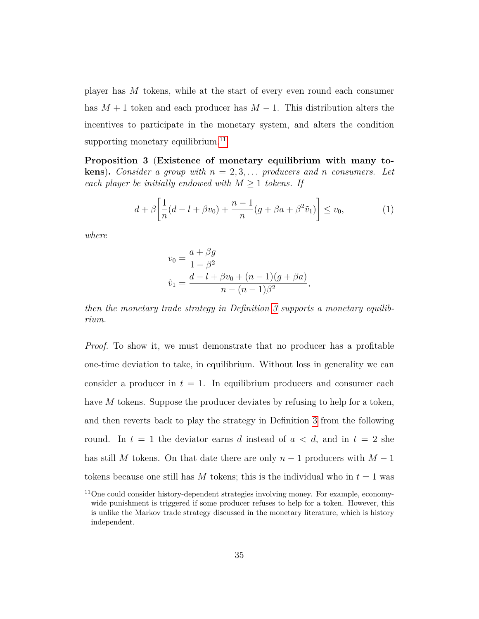player has *M* tokens, while at the start of every even round each consumer has  $M + 1$  token and each producer has  $M - 1$ . This distribution alters the incentives to participate in the monetary system, and alters the condition supporting monetary equilibrium.<sup>[11](#page-0-0)</sup>

**Proposition 3** (**Existence of monetary equilibrium with many tokens**). *Consider a group with*  $n = 2, 3, \ldots$  *producers and n consumers.* Let *each player be initially endowed with*  $M \geq 1$  *tokens. If* 

$$
d + \beta \left[ \frac{1}{n} (d - l + \beta v_0) + \frac{n - 1}{n} (g + \beta a + \beta^2 \tilde{v}_1) \right] \le v_0,
$$
 (1)

*where*

<span id="page-34-0"></span>
$$
v_0 = \frac{a + \beta g}{1 - \beta^2}
$$
  

$$
\tilde{v}_1 = \frac{d - l + \beta v_0 + (n - 1)(g + \beta a)}{n - (n - 1)\beta^2},
$$

*then the monetary trade strategy in Definition [3](#page-33-0) supports a monetary equilibrium.*

*Proof.* To show it, we must demonstrate that no producer has a profitable one-time deviation to take, in equilibrium. Without loss in generality we can consider a producer in  $t = 1$ . In equilibrium producers and consumer each have *M* tokens. Suppose the producer deviates by refusing to help for a token, and then reverts back to play the strategy in Definition [3](#page-33-0) from the following round. In  $t = 1$  the deviator earns *d* instead of  $a < d$ , and in  $t = 2$  she has still *M* tokens. On that date there are only *n* − 1 producers with *M* − 1 tokens because one still has  $M$  tokens; this is the individual who in  $t = 1$  was

 $11$ One could consider history-dependent strategies involving money. For example, economywide punishment is triggered if some producer refuses to help for a token. However, this is unlike the Markov trade strategy discussed in the monetary literature, which is history independent.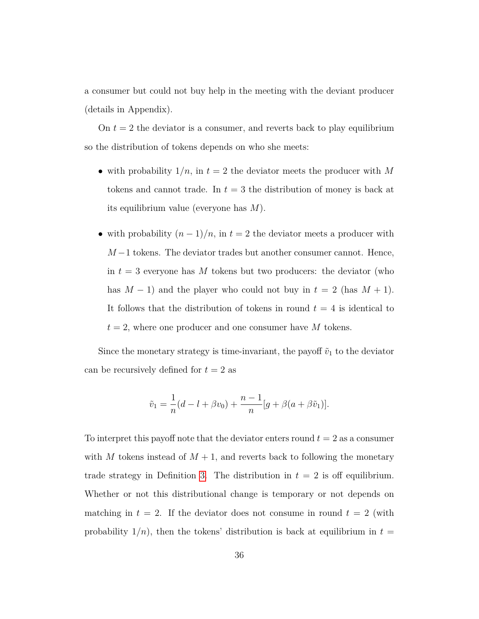a consumer but could not buy help in the meeting with the deviant producer (details in Appendix).

On  $t = 2$  the deviator is a consumer, and reverts back to play equilibrium so the distribution of tokens depends on who she meets:

- with probability  $1/n$ , in  $t = 2$  the deviator meets the producer with M tokens and cannot trade. In *t* = 3 the distribution of money is back at its equilibrium value (everyone has *M*).
- with probability  $(n-1)/n$ , in  $t=2$  the deviator meets a producer with *M* −1 tokens. The deviator trades but another consumer cannot. Hence, in  $t = 3$  everyone has M tokens but two producers: the deviator (who has  $M-1$ ) and the player who could not buy in  $t = 2$  (has  $M + 1$ ). It follows that the distribution of tokens in round  $t = 4$  is identical to  $t = 2$ , where one producer and one consumer have *M* tokens.

Since the monetary strategy is time-invariant, the payoff  $\tilde{v}_1$  to the deviator can be recursively defined for  $t = 2$  as

$$
\tilde{v}_1 = \frac{1}{n}(d - l + \beta v_0) + \frac{n-1}{n}[g + \beta(a + \beta \tilde{v}_1)].
$$

To interpret this payoff note that the deviator enters round  $t = 2$  as a consumer with *M* tokens instead of  $M + 1$ , and reverts back to following the monetary trade strategy in Definition [3.](#page-33-0) The distribution in  $t = 2$  is off equilibrium. Whether or not this distributional change is temporary or not depends on matching in  $t = 2$ . If the deviator does not consume in round  $t = 2$  (with probability  $1/n$ , then the tokens' distribution is back at equilibrium in  $t =$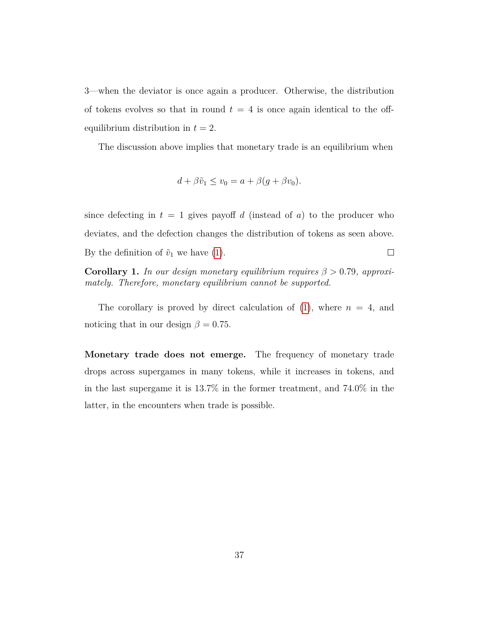3—when the deviator is once again a producer. Otherwise, the distribution of tokens evolves so that in round  $t = 4$  is once again identical to the offequilibrium distribution in  $t = 2$ .

The discussion above implies that monetary trade is an equilibrium when

$$
d + \beta \tilde{v}_1 \le v_0 = a + \beta (g + \beta v_0).
$$

since defecting in  $t = 1$  gives payoff *d* (instead of *a*) to the producer who deviates, and the defection changes the distribution of tokens as seen above. By the definition of  $\tilde{v}_1$  we have [\(1\)](#page-34-0).  $\Box$ 

**Corollary 1.** *In our design monetary equilibrium requires*  $\beta > 0.79$ *, approximately. Therefore, monetary equilibrium cannot be supported.*

The corollary is proved by direct calculation of  $(1)$ , where  $n = 4$ , and noticing that in our design  $\beta = 0.75$ .

**Monetary trade does not emerge.** The frequency of monetary trade drops across supergames in many tokens, while it increases in tokens, and in the last supergame it is 13.7% in the former treatment, and 74.0% in the latter, in the encounters when trade is possible.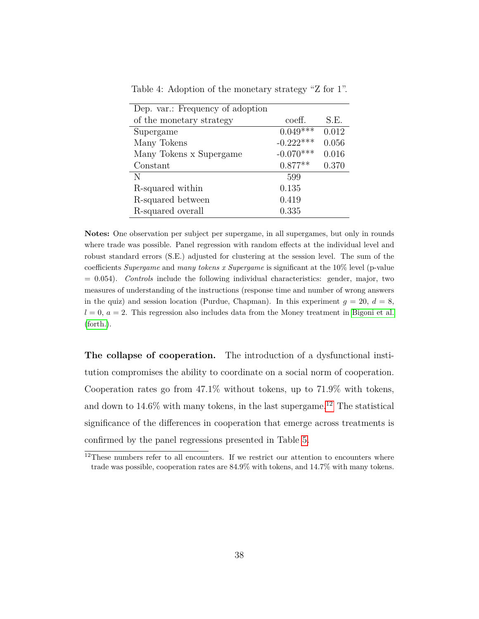| Dep. var.: Frequency of adoption |             |       |
|----------------------------------|-------------|-------|
| of the monetary strategy         | coeff.      | S.E.  |
| Supergame                        | $0.049***$  | 0.012 |
| Many Tokens                      | $-0.222***$ | 0.056 |
| Many Tokens x Supergame          | $-0.070***$ | 0.016 |
| Constant                         | $0.877**$   | 0.370 |
| N                                | 599         |       |
| R-squared within                 | 0.135       |       |
| R-squared between                | 0.419       |       |
| R-squared overall                | 0.335       |       |

<span id="page-37-0"></span>Table 4: Adoption of the monetary strategy "Z for 1".

**Notes:** One observation per subject per supergame, in all supergames, but only in rounds where trade was possible. Panel regression with random effects at the individual level and robust standard errors (S.E.) adjusted for clustering at the session level. The sum of the coefficients *Supergame* and *many tokens x Supergame* is significant at the 10% level (p-value = 0*.*054). *Controls* include the following individual characteristics: gender, major, two measures of understanding of the instructions (response time and number of wrong answers in the quiz) and session location (Purdue, Chapman). In this experiment  $q = 20$ ,  $d = 8$ ,  $l = 0$ ,  $a = 2$ . This regression also includes data from the Money treatment in [Bigoni et al.](#page-41-2) [\(forth.\)](#page-41-2).

**The collapse of cooperation.** The introduction of a dysfunctional institution compromises the ability to coordinate on a social norm of cooperation. Cooperation rates go from 47.1% without tokens, up to 71.9% with tokens, and down to  $14.6\%$  with many tokens, in the last supergame.<sup>[12](#page-0-0)</sup> The statistical significance of the differences in cooperation that emerge across treatments is confirmed by the panel regressions presented in Table [5.](#page-38-1)

 $12$ These numbers refer to all encounters. If we restrict our attention to encounters where trade was possible, cooperation rates are 84.9% with tokens, and 14.7% with many tokens.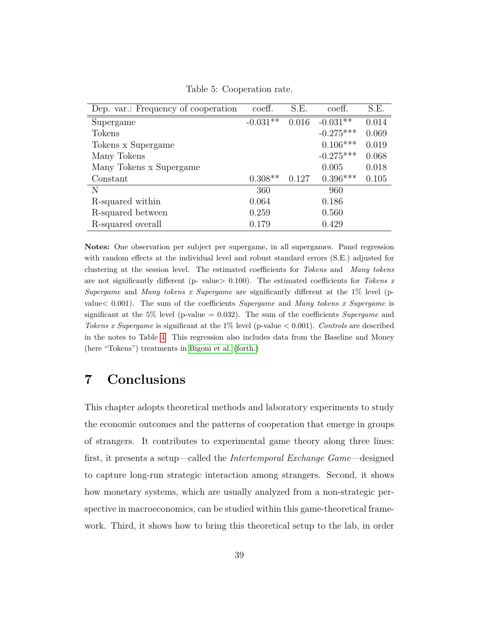<span id="page-38-1"></span>

| Dep. var.: Frequency of cooperation | coeff.     | S.E.  | coeff.      | S.E.  |
|-------------------------------------|------------|-------|-------------|-------|
| Supergame                           | $-0.031**$ | 0.016 | $-0.031**$  | 0.014 |
| Tokens                              |            |       | $-0.275***$ | 0.069 |
| Tokens x Supergame                  |            |       | $0.106***$  | 0.019 |
| Many Tokens                         |            |       | $-0.275***$ | 0.068 |
| Many Tokens x Supergame             |            |       | 0.005       | 0.018 |
| Constant                            | $0.308**$  | 0.127 | $0.396***$  | 0.105 |
| N                                   | 360        |       | 960         |       |
| R-squared within                    | 0.064      |       | 0.186       |       |
| R-squared between                   | 0.259      |       | 0.560       |       |
| R-squared overall                   | 0.179      |       | 0.429       |       |

Table 5: Cooperation rate.

**Notes:** One observation per subject per supergame, in all supergames. Panel regression with random effects at the individual level and robust standard errors (S.E.) adjusted for clustering at the session level. The estimated coefficients for *Tokens* and *Many tokens* are not significantly different (p- value*>* 0.100). The estimated coefficients for *Tokens x Supergame* and *Many tokens x Supergame* are significantly different at the 1% level (pvalue*<* 0.001). The sum of the coefficients *Supergame* and *Many tokens x Supergame* is significant at the 5% level (p-value = 0*.*032). The sum of the coefficients *Supergame* and *Tokens x Supergame* is significant at the 1% level (p-value *<* 0*.*001). *Controls* are described in the notes to Table [4.](#page-37-0) This regression also includes data from the Baseline and Money (here "Tokens") treatments in [Bigoni et al.](#page-41-2) [\(forth.\)](#page-41-2)

## <span id="page-38-0"></span>**7 Conclusions**

This chapter adopts theoretical methods and laboratory experiments to study the economic outcomes and the patterns of cooperation that emerge in groups of strangers. It contributes to experimental game theory along three lines: first, it presents a setup—called the *Intertemporal Exchange Game*—designed to capture long-run strategic interaction among strangers. Second, it shows how monetary systems, which are usually analyzed from a non-strategic perspective in macroeconomics, can be studied within this game-theoretical framework. Third, it shows how to bring this theoretical setup to the lab, in order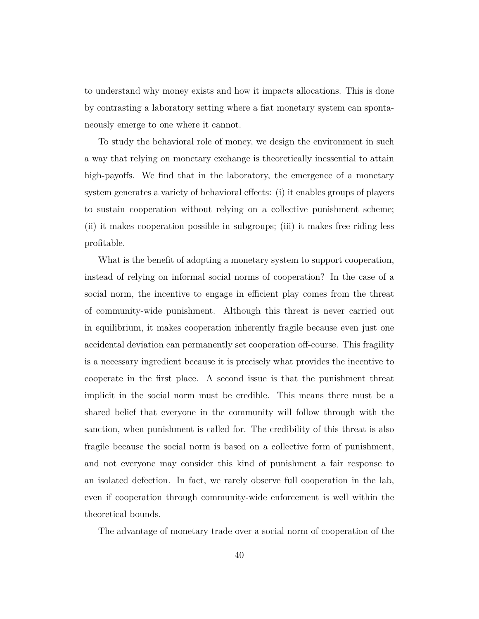to understand why money exists and how it impacts allocations. This is done by contrasting a laboratory setting where a fiat monetary system can spontaneously emerge to one where it cannot.

To study the behavioral role of money, we design the environment in such a way that relying on monetary exchange is theoretically inessential to attain high-payoffs. We find that in the laboratory, the emergence of a monetary system generates a variety of behavioral effects: (i) it enables groups of players to sustain cooperation without relying on a collective punishment scheme; (ii) it makes cooperation possible in subgroups; (iii) it makes free riding less profitable.

What is the benefit of adopting a monetary system to support cooperation, instead of relying on informal social norms of cooperation? In the case of a social norm, the incentive to engage in efficient play comes from the threat of community-wide punishment. Although this threat is never carried out in equilibrium, it makes cooperation inherently fragile because even just one accidental deviation can permanently set cooperation off-course. This fragility is a necessary ingredient because it is precisely what provides the incentive to cooperate in the first place. A second issue is that the punishment threat implicit in the social norm must be credible. This means there must be a shared belief that everyone in the community will follow through with the sanction, when punishment is called for. The credibility of this threat is also fragile because the social norm is based on a collective form of punishment, and not everyone may consider this kind of punishment a fair response to an isolated defection. In fact, we rarely observe full cooperation in the lab, even if cooperation through community-wide enforcement is well within the theoretical bounds.

The advantage of monetary trade over a social norm of cooperation of the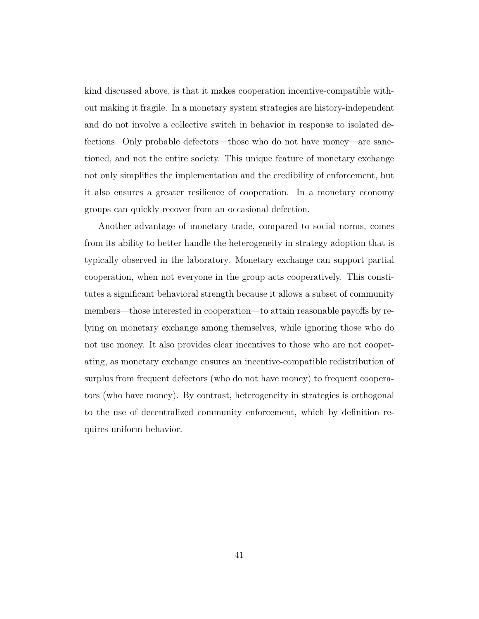kind discussed above, is that it makes cooperation incentive-compatible without making it fragile. In a monetary system strategies are history-independent and do not involve a collective switch in behavior in response to isolated defections. Only probable defectors—those who do not have money—are sanctioned, and not the entire society. This unique feature of monetary exchange not only simplifies the implementation and the credibility of enforcement, but it also ensures a greater resilience of cooperation. In a monetary economy groups can quickly recover from an occasional defection.

Another advantage of monetary trade, compared to social norms, comes from its ability to better handle the heterogeneity in strategy adoption that is typically observed in the laboratory. Monetary exchange can support partial cooperation, when not everyone in the group acts cooperatively. This constitutes a significant behavioral strength because it allows a subset of community members—those interested in cooperation—to attain reasonable payoffs by relying on monetary exchange among themselves, while ignoring those who do not use money. It also provides clear incentives to those who are not cooperating, as monetary exchange ensures an incentive-compatible redistribution of surplus from frequent defectors (who do not have money) to frequent cooperators (who have money). By contrast, heterogeneity in strategies is orthogonal to the use of decentralized community enforcement, which by definition requires uniform behavior.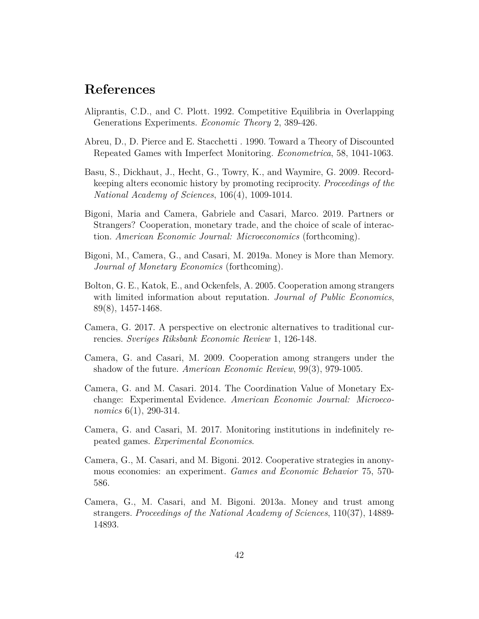### **References**

- <span id="page-41-1"></span>Aliprantis, C.D., and C. Plott. 1992. Competitive Equilibria in Overlapping Generations Experiments. *Economic Theory* 2, 389-426.
- <span id="page-41-3"></span>Abreu, D., D. Pierce and E. Stacchetti . 1990. Toward a Theory of Discounted Repeated Games with Imperfect Monitoring. *Econometrica*, 58, 1041-1063.
- <span id="page-41-9"></span>Basu, S., Dickhaut, J., Hecht, G., Towry, K., and Waymire, G. 2009. Recordkeeping alters economic history by promoting reciprocity. *Proceedings of the National Academy of Sciences*, 106(4), 1009-1014.
- <span id="page-41-8"></span>Bigoni, Maria and Camera, Gabriele and Casari, Marco. 2019. Partners or Strangers? Cooperation, monetary trade, and the choice of scale of interaction. *American Economic Journal: Microeconomics* (forthcoming).
- <span id="page-41-2"></span>Bigoni, M., Camera, G., and Casari, M. 2019a. Money is More than Memory. *Journal of Monetary Economics* (forthcoming).
- Bolton, G. E., Katok, E., and Ockenfels, A. 2005. Cooperation among strangers with limited information about reputation. *Journal of Public Economics*, 89(8), 1457-1468.
- <span id="page-41-0"></span>Camera, G. 2017. A perspective on electronic alternatives to traditional currencies. *Sveriges Riksbank Economic Review* 1, 126-148.
- <span id="page-41-6"></span>Camera, G. and Casari, M. 2009. Cooperation among strangers under the shadow of the future. *American Economic Review*, 99(3), 979-1005.
- <span id="page-41-7"></span>Camera, G. and M. Casari. 2014. The Coordination Value of Monetary Exchange: Experimental Evidence. *American Economic Journal: Microeconomics* 6(1), 290-314.
- <span id="page-41-5"></span>Camera, G. and Casari, M. 2017. Monitoring institutions in indefinitely repeated games. *Experimental Economics*.
- <span id="page-41-10"></span>Camera, G., M. Casari, and M. Bigoni. 2012. Cooperative strategies in anonymous economies: an experiment. *Games and Economic Behavior* 75, 570- 586.
- <span id="page-41-4"></span>Camera, G., M. Casari, and M. Bigoni. 2013a. Money and trust among strangers. *Proceedings of the National Academy of Sciences*, 110(37), 14889- 14893.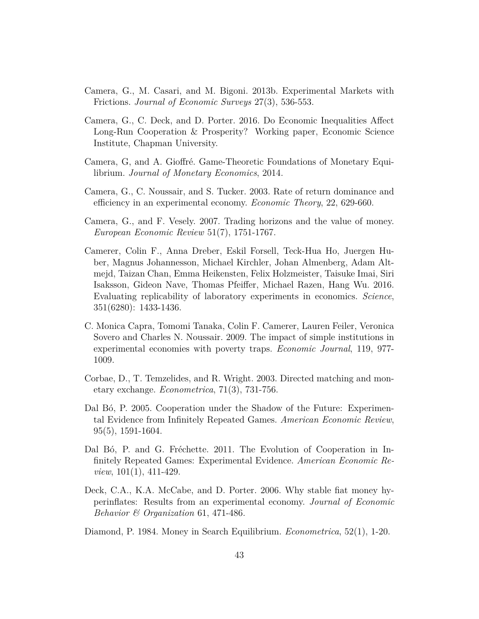- <span id="page-42-4"></span>Camera, G., M. Casari, and M. Bigoni. 2013b. Experimental Markets with Frictions. *Journal of Economic Surveys* 27(3), 536-553.
- <span id="page-42-5"></span>Camera, G., C. Deck, and D. Porter. 2016. Do Economic Inequalities Affect Long-Run Cooperation & Prosperity? Working paper, Economic Science Institute, Chapman University.
- Camera, G, and A. Gioffré. Game-Theoretic Foundations of Monetary Equilibrium. *Journal of Monetary Economics*, 2014.
- <span id="page-42-7"></span>Camera, G., C. Noussair, and S. Tucker. 2003. Rate of return dominance and efficiency in an experimental economy. *Economic Theory*, 22, 629-660.
- <span id="page-42-3"></span>Camera, G., and F. Vesely. 2007. Trading horizons and the value of money. *European Economic Review* 51(7), 1751-1767.
- <span id="page-42-9"></span>Camerer, Colin F., Anna Dreber, Eskil Forsell, Teck-Hua Ho, Juergen Huber, Magnus Johannesson, Michael Kirchler, Johan Almenberg, Adam Altmejd, Taizan Chan, Emma Heikensten, Felix Holzmeister, Taisuke Imai, Siri Isaksson, Gideon Nave, Thomas Pfeiffer, Michael Razen, Hang Wu. 2016. Evaluating replicability of laboratory experiments in economics. *Science*, 351(6280): 1433-1436.
- <span id="page-42-2"></span>C. Monica Capra, Tomomi Tanaka, Colin F. Camerer, Lauren Feiler, Veronica Sovero and Charles N. Noussair. 2009. The impact of simple institutions in experimental economies with poverty traps. *Economic Journal*, 119, 977- 1009.
- <span id="page-42-0"></span>Corbae, D., T. Temzelides, and R. Wright. 2003. Directed matching and monetary exchange. *Econometrica*, 71(3), 731-756.
- Dal B<sub>0</sub>, P. 2005. Cooperation under the Shadow of the Future: Experimental Evidence from Infinitely Repeated Games. *American Economic Review*, 95(5), 1591-1604.
- <span id="page-42-6"></span>Dal Bó, P. and G. Fréchette. 2011. The Evolution of Cooperation in Infinitely Repeated Games: Experimental Evidence. *American Economic Review*, 101(1), 411-429.
- <span id="page-42-8"></span>Deck, C.A., K.A. McCabe, and D. Porter. 2006. Why stable fiat money hyperinflates: Results from an experimental economy. *Journal of Economic Behavior & Organization* 61, 471-486.
- <span id="page-42-1"></span>Diamond, P. 1984. Money in Search Equilibrium. *Econometrica*, 52(1), 1-20.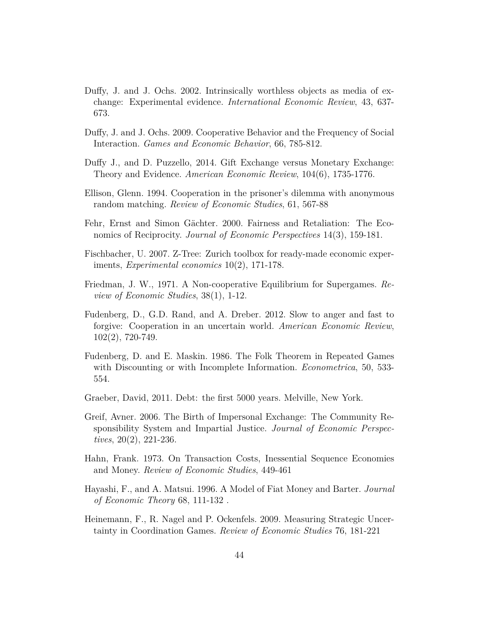- <span id="page-43-8"></span>Duffy, J. and J. Ochs. 2002. Intrinsically worthless objects as media of exchange: Experimental evidence. *International Economic Review*, 43, 637- 673.
- Duffy, J. and J. Ochs. 2009. Cooperative Behavior and the Frequency of Social Interaction. *Games and Economic Behavior*, 66, 785-812.
- <span id="page-43-9"></span>Duffy J., and D. Puzzello, 2014. Gift Exchange versus Monetary Exchange: Theory and Evidence. *American Economic Review*, 104(6), 1735-1776.
- <span id="page-43-5"></span>Ellison, Glenn. 1994. Cooperation in the prisoner's dilemma with anonymous random matching. *Review of Economic Studies*, 61, 567-88
- <span id="page-43-6"></span>Fehr, Ernst and Simon Gächter. 2000. Fairness and Retaliation: The Economics of Reciprocity. *Journal of Economic Perspectives* 14(3), 159-181.
- <span id="page-43-10"></span>Fischbacher, U. 2007. Z-Tree: Zurich toolbox for ready-made economic experiments, *Experimental economics* 10(2), 171-178.
- <span id="page-43-4"></span>Friedman, J. W., 1971. A Non-cooperative Equilibrium for Supergames. *Review of Economic Studies*, 38(1), 1-12.
- <span id="page-43-7"></span>Fudenberg, D., G.D. Rand, and A. Dreber. 2012. Slow to anger and fast to forgive: Cooperation in an uncertain world. *American Economic Review*, 102(2), 720-749.
- Fudenberg, D. and E. Maskin. 1986. The Folk Theorem in Repeated Games with Discounting or with Incomplete Information. *Econometrica*, 50, 533- 554.
- <span id="page-43-0"></span>Graeber, David, 2011. Debt: the first 5000 years. Melville, New York.
- Greif, Avner. 2006. The Birth of Impersonal Exchange: The Community Responsibility System and Impartial Justice. *Journal of Economic Perspectives*, 20(2), 221-236.
- <span id="page-43-2"></span>Hahn, Frank. 1973. On Transaction Costs, Inessential Sequence Economies and Money. *Review of Economic Studies*, 449-461
- <span id="page-43-1"></span>Hayashi, F., and A. Matsui. 1996. A Model of Fiat Money and Barter. *Journal of Economic Theory* 68, 111-132 .
- <span id="page-43-3"></span>Heinemann, F., R. Nagel and P. Ockenfels. 2009. Measuring Strategic Uncertainty in Coordination Games. *Review of Economic Studies* 76, 181-221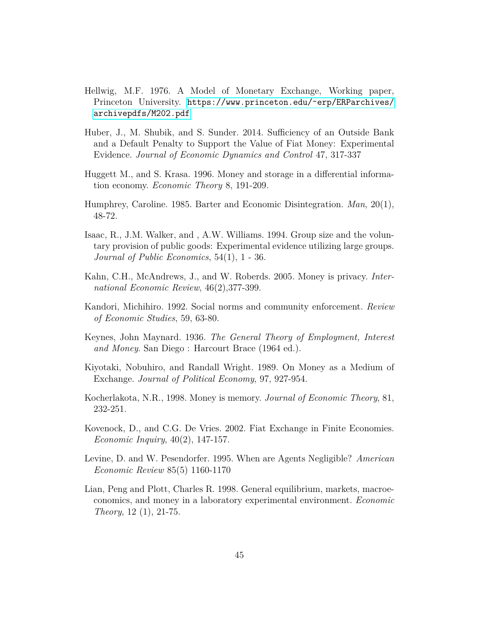- <span id="page-44-3"></span>Hellwig, M.F. 1976. A Model of Monetary Exchange, Working paper, Princeton University. https://www.princeton.edu/~erp/ERParchives/ [archivepdfs/M202.pdf](https://www.princeton.edu/~erp/ERParchives/archivepdfs/M202.pdf)
- <span id="page-44-11"></span>Huber, J., M. Shubik, and S. Sunder. 2014. Sufficiency of an Outside Bank and a Default Penalty to Support the Value of Fiat Money: Experimental Evidence. *Journal of Economic Dynamics and Control* 47, 317-337
- <span id="page-44-6"></span>Huggett M., and S. Krasa. 1996. Money and storage in a differential information economy. *Economic Theory* 8, 191-209.
- <span id="page-44-0"></span>Humphrey, Caroline. 1985. Barter and Economic Disintegration. *Man*, 20(1), 48-72.
- <span id="page-44-10"></span>Isaac, R., J.M. Walker, and , A.W. Williams. 1994. Group size and the voluntary provision of public goods: Experimental evidence utilizing large groups. *Journal of Public Economics*, 54(1), 1 - 36.
- <span id="page-44-2"></span>Kahn, C.H., McAndrews, J., and W. Roberds. 2005. Money is privacy. *International Economic Review*, 46(2),377-399.
- <span id="page-44-7"></span>Kandori, Michihiro. 1992. Social norms and community enforcement. *Review of Economic Studies*, 59, 63-80.
- <span id="page-44-5"></span>Keynes, John Maynard. 1936. *The General Theory of Employment, Interest and Money*. San Diego : Harcourt Brace (1964 ed.).
- <span id="page-44-4"></span>Kiyotaki, Nobuhiro, and Randall Wright. 1989. On Money as a Medium of Exchange. *Journal of Political Economy*, 97, 927-954.
- <span id="page-44-1"></span>Kocherlakota, N.R., 1998. Money is memory. *Journal of Economic Theory*, 81, 232-251.
- <span id="page-44-8"></span>Kovenock, D., and C.G. De Vries. 2002. Fiat Exchange in Finite Economies. *Economic Inquiry*, 40(2), 147-157.
- <span id="page-44-9"></span>Levine, D. and W. Pesendorfer. 1995. When are Agents Negligible? *American Economic Review* 85(5) 1160-1170
- <span id="page-44-12"></span>Lian, Peng and Plott, Charles R. 1998. General equilibrium, markets, macroeconomics, and money in a laboratory experimental environment. *Economic Theory*, 12 (1), 21-75.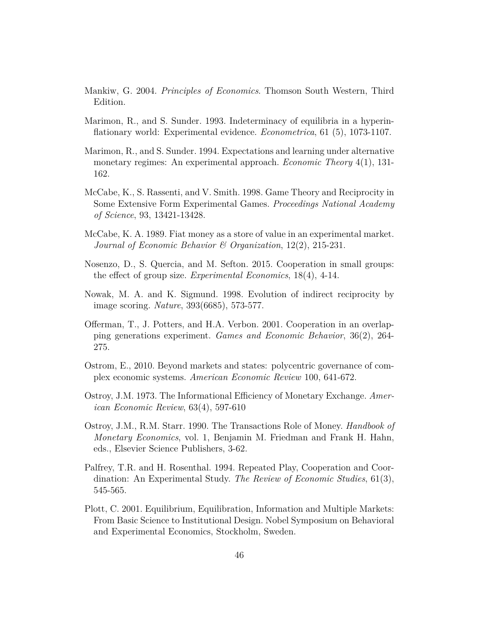- <span id="page-45-1"></span>Mankiw, G. 2004. *Principles of Economics*. Thomson South Western, Third Edition.
- <span id="page-45-5"></span>Marimon, R., and S. Sunder. 1993. Indeterminacy of equilibria in a hyperinflationary world: Experimental evidence. *Econometrica*, 61 (5), 1073-1107.
- <span id="page-45-6"></span>Marimon, R., and S. Sunder. 1994. Expectations and learning under alternative monetary regimes: An experimental approach. *Economic Theory* 4(1), 131- 162.
- McCabe, K., S. Rassenti, and V. Smith. 1998. Game Theory and Reciprocity in Some Extensive Form Experimental Games. *Proceedings National Academy of Science*, 93, 13421-13428.
- <span id="page-45-7"></span>McCabe, K. A. 1989. Fiat money as a store of value in an experimental market. *Journal of Economic Behavior & Organization*, 12(2), 215-231.
- <span id="page-45-4"></span>Nosenzo, D., S. Quercia, and M. Sefton. 2015. Cooperation in small groups: the effect of group size. *Experimental Economics*, 18(4), 4-14.
- <span id="page-45-3"></span>Nowak, M. A. and K. Sigmund. 1998. Evolution of indirect reciprocity by image scoring. *Nature*, 393(6685), 573-577.
- Offerman, T., J. Potters, and H.A. Verbon. 2001. Cooperation in an overlapping generations experiment. *Games and Economic Behavior*, 36(2), 264- 275.
- Ostrom, E., 2010. Beyond markets and states: polycentric governance of complex economic systems. *American Economic Review* 100, 641-672.
- <span id="page-45-0"></span>Ostroy, J.M. 1973. The Informational Efficiency of Monetary Exchange. *American Economic Review*, 63(4), 597-610
- Ostroy, J.M., R.M. Starr. 1990. The Transactions Role of Money. *Handbook of Monetary Economics*, vol. 1, Benjamin M. Friedman and Frank H. Hahn, eds., Elsevier Science Publishers, 3-62.
- Palfrey, T.R. and H. Rosenthal. 1994. Repeated Play, Cooperation and Coordination: An Experimental Study. *The Review of Economic Studies*, 61(3), 545-565.
- <span id="page-45-2"></span>Plott, C. 2001. Equilibrium, Equilibration, Information and Multiple Markets: From Basic Science to Institutional Design. Nobel Symposium on Behavioral and Experimental Economics, Stockholm, Sweden.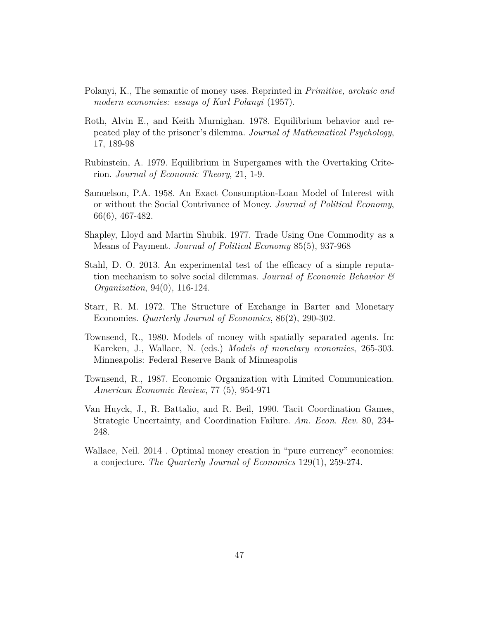- <span id="page-46-0"></span>Polanyi, K., The semantic of money uses. Reprinted in *Primitive, archaic and modern economies: essays of Karl Polanyi* (1957).
- <span id="page-46-7"></span>Roth, Alvin E., and Keith Murnighan. 1978. Equilibrium behavior and repeated play of the prisoner's dilemma. *Journal of Mathematical Psychology*, 17, 189-98
- Rubinstein, A. 1979. Equilibrium in Supergames with the Overtaking Criterion. *Journal of Economic Theory*, 21, 1-9.
- <span id="page-46-2"></span>Samuelson, P.A. 1958. An Exact Consumption-Loan Model of Interest with or without the Social Contrivance of Money. *Journal of Political Economy*, 66(6), 467-482.
- <span id="page-46-4"></span>Shapley, Lloyd and Martin Shubik. 1977. Trade Using One Commodity as a Means of Payment. *Journal of Political Economy* 85(5), 937-968
- Stahl, D. O. 2013. An experimental test of the efficacy of a simple reputation mechanism to solve social dilemmas. *Journal of Economic Behavior & Organization*, 94(0), 116-124.
- <span id="page-46-8"></span>Starr, R. M. 1972. The Structure of Exchange in Barter and Monetary Economies. *Quarterly Journal of Economics*, 86(2), 290-302.
- <span id="page-46-3"></span>Townsend, R., 1980. Models of money with spatially separated agents. In: Kareken, J., Wallace, N. (eds.) *Models of monetary economies*, 265-303. Minneapolis: Federal Reserve Bank of Minneapolis
- <span id="page-46-1"></span>Townsend, R., 1987. Economic Organization with Limited Communication. *American Economic Review*, 77 (5), 954-971
- <span id="page-46-6"></span>Van Huyck, J., R. Battalio, and R. Beil, 1990. Tacit Coordination Games, Strategic Uncertainty, and Coordination Failure. *Am. Econ. Rev.* 80, 234- 248.
- <span id="page-46-5"></span>Wallace, Neil. 2014 . Optimal money creation in "pure currency" economies: a conjecture. *The Quarterly Journal of Economics* 129(1), 259-274.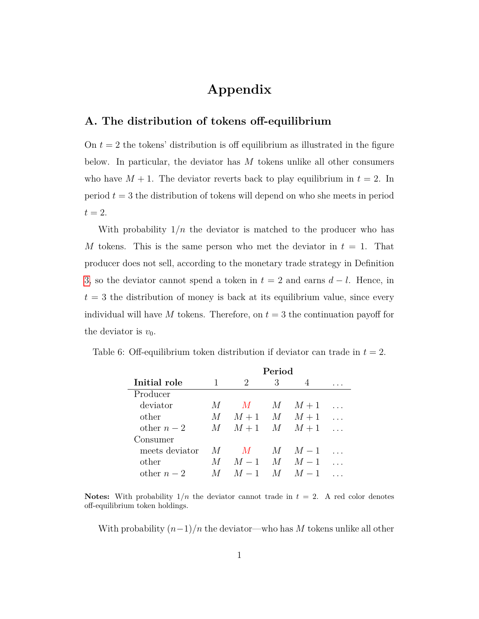## **Appendix**

#### **A. The distribution of tokens off-equilibrium**

On  $t = 2$  the tokens' distribution is off equilibrium as illustrated in the figure below. In particular, the deviator has *M* tokens unlike all other consumers who have  $M + 1$ . The deviator reverts back to play equilibrium in  $t = 2$ . In period  $t = 3$  the distribution of tokens will depend on who she meets in period  $t=2$ .

With probability  $1/n$  the deviator is matched to the producer who has *M* tokens. This is the same person who met the deviator in  $t = 1$ . That producer does not sell, according to the monetary trade strategy in Definition [3,](#page-33-0) so the deviator cannot spend a token in *t* = 2 and earns *d* − *l*. Hence, in  $t = 3$  the distribution of money is back at its equilibrium value, since every individual will have  $M$  tokens. Therefore, on  $t = 3$  the continuation payoff for the deviator is  $v_0$ .

|                | Period  |                |                |                 |  |
|----------------|---------|----------------|----------------|-----------------|--|
| Initial role   | 1       | $\overline{2}$ | 3              |                 |  |
| Producer       |         |                |                |                 |  |
| deviator       | $M_{-}$ | M              | M              | $M+1$           |  |
| other          | M       | $M+1$ M        |                | $M+1$           |  |
| other $n-2$    | M       | $M+1$ $M$      |                | $M+1$           |  |
| Consumer       |         |                |                |                 |  |
| meets deviator | M       | M              | $M_{-}$        | $M-1$           |  |
| other          | M       |                |                | $M-1$ $M$ $M-1$ |  |
| other $n-2$    |         | $M = 1$        | $\overline{M}$ | $M-1$           |  |

Table 6: Off-equilibrium token distribution if deviator can trade in  $t = 2$ .

**Notes:** With probability  $1/n$  the deviator cannot trade in  $t = 2$ . A red color denotes off-equilibrium token holdings.

With probability  $(n-1)/n$  the deviator—who has M tokens unlike all other